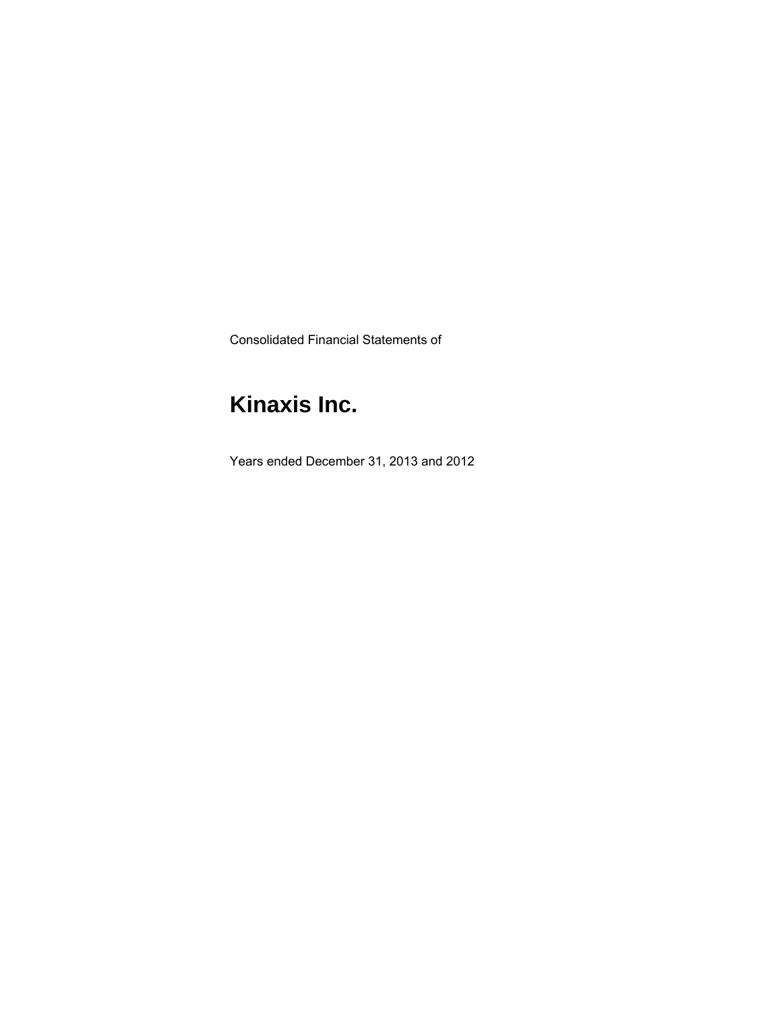Consolidated Financial Statements of

# **Kinaxis Inc.**

Years ended December 31, 2013 and 2012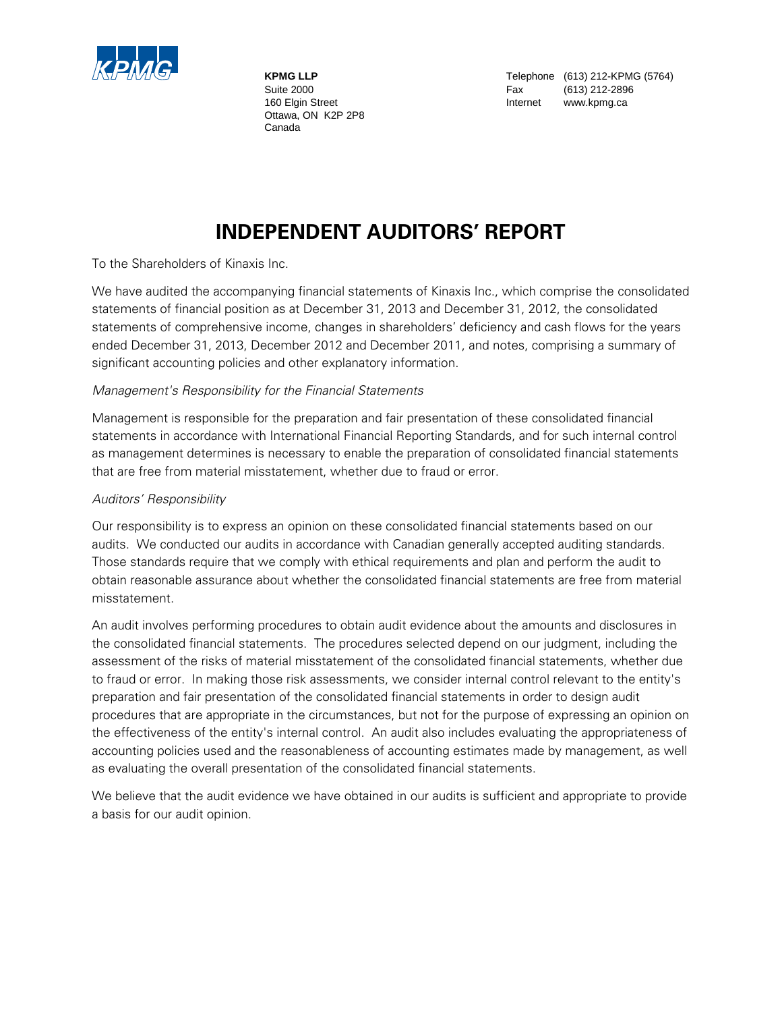

 Ottawa, ON K2P 2P8 Canada

**KPMG LLP** Telephone (613) 212-KPMG (5764) Suite 2000 **Fax** (613) 212-2896 160 Elgin Street **Internet** www.kpmg.ca

## **INDEPENDENT AUDITORS' REPORT**

To the Shareholders of Kinaxis Inc.

We have audited the accompanying financial statements of Kinaxis Inc., which comprise the consolidated statements of financial position as at December 31, 2013 and December 31, 2012, the consolidated statements of comprehensive income, changes in shareholders' deficiency and cash flows for the years ended December 31, 2013, December 2012 and December 2011, and notes, comprising a summary of significant accounting policies and other explanatory information.

### *Management's Responsibility for the Financial Statements*

Management is responsible for the preparation and fair presentation of these consolidated financial statements in accordance with International Financial Reporting Standards, and for such internal control as management determines is necessary to enable the preparation of consolidated financial statements that are free from material misstatement, whether due to fraud or error.

### *Auditors' Responsibility*

Our responsibility is to express an opinion on these consolidated financial statements based on our audits. We conducted our audits in accordance with Canadian generally accepted auditing standards. Those standards require that we comply with ethical requirements and plan and perform the audit to obtain reasonable assurance about whether the consolidated financial statements are free from material misstatement.

An audit involves performing procedures to obtain audit evidence about the amounts and disclosures in the consolidated financial statements. The procedures selected depend on our judgment, including the assessment of the risks of material misstatement of the consolidated financial statements, whether due to fraud or error. In making those risk assessments, we consider internal control relevant to the entity's preparation and fair presentation of the consolidated financial statements in order to design audit procedures that are appropriate in the circumstances, but not for the purpose of expressing an opinion on the effectiveness of the entity's internal control. An audit also includes evaluating the appropriateness of accounting policies used and the reasonableness of accounting estimates made by management, as well as evaluating the overall presentation of the consolidated financial statements.

We believe that the audit evidence we have obtained in our audits is sufficient and appropriate to provide a basis for our audit opinion.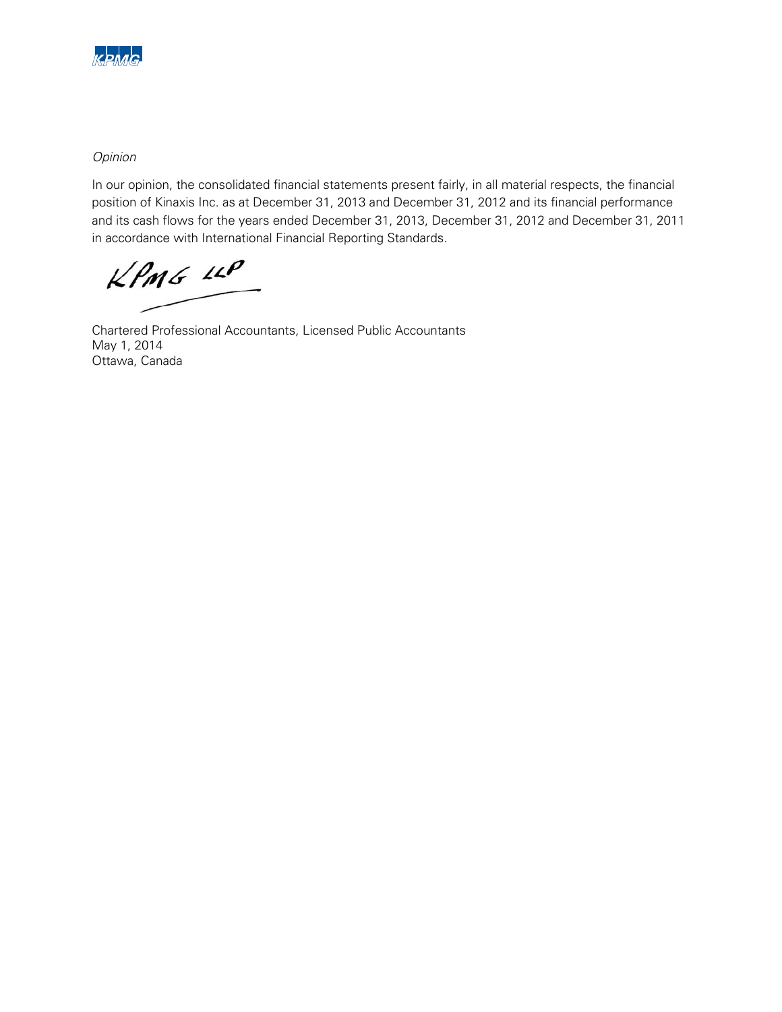

### *Opinion*

In our opinion, the consolidated financial statements present fairly, in all material respects, the financial position of Kinaxis Inc. as at December 31, 2013 and December 31, 2012 and its financial performance and its cash flows for the years ended December 31, 2013, December 31, 2012 and December 31, 2011 in accordance with International Financial Reporting Standards.

 $KPMG$  11P

Chartered Professional Accountants, Licensed Public Accountants May 1, 2014 Ottawa, Canada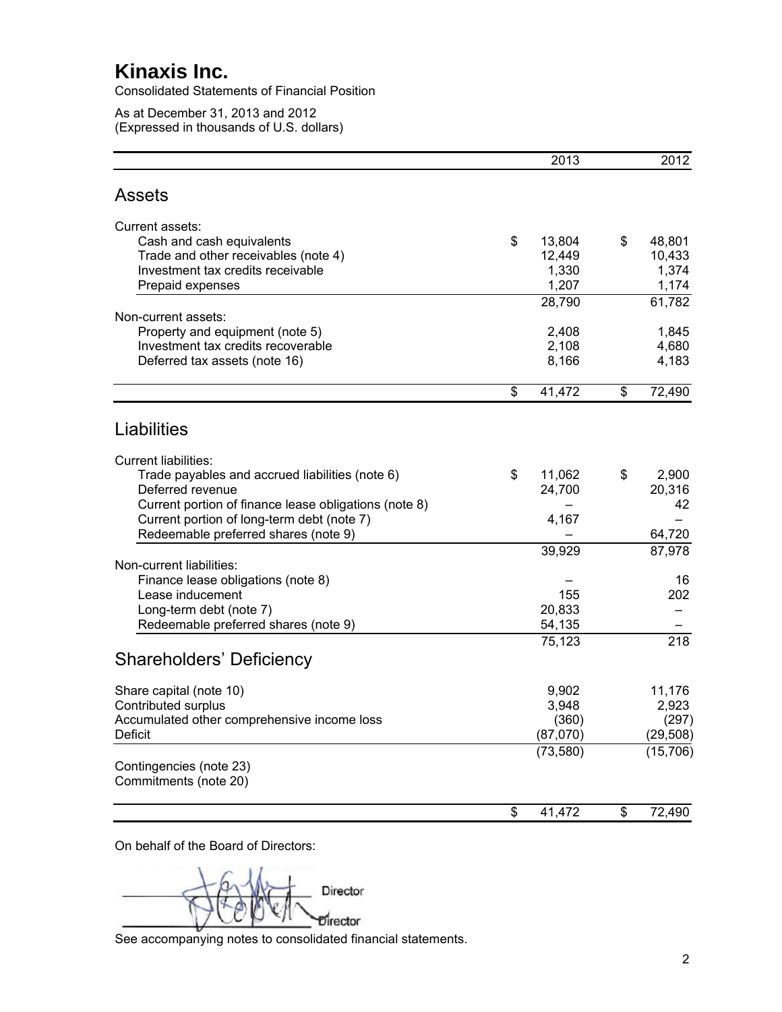Consolidated Statements of Financial Position

As at December 31, 2013 and 2012 (Expressed in thousands of U.S. dollars)

|                                                       | 2013         | 2012         |
|-------------------------------------------------------|--------------|--------------|
| <b>Assets</b>                                         |              |              |
| Current assets:                                       |              |              |
| Cash and cash equivalents                             | \$<br>13,804 | \$<br>48,801 |
| Trade and other receivables (note 4)                  | 12,449       | 10,433       |
| Investment tax credits receivable                     | 1,330        | 1,374        |
| Prepaid expenses                                      | 1,207        | 1,174        |
|                                                       | 28,790       | 61,782       |
| Non-current assets:                                   |              |              |
| Property and equipment (note 5)                       | 2,408        | 1,845        |
| Investment tax credits recoverable                    | 2,108        | 4,680        |
| Deferred tax assets (note 16)                         | 8,166        | 4,183        |
|                                                       | \$<br>41,472 | \$<br>72,490 |
|                                                       |              |              |
| Liabilities                                           |              |              |
| <b>Current liabilities:</b>                           |              |              |
| Trade payables and accrued liabilities (note 6)       | \$<br>11,062 | \$<br>2,900  |
| Deferred revenue                                      | 24,700       | 20,316       |
| Current portion of finance lease obligations (note 8) |              | 42           |
| Current portion of long-term debt (note 7)            | 4,167        |              |
| Redeemable preferred shares (note 9)                  |              | 64,720       |
|                                                       | 39,929       | 87,978       |
| Non-current liabilities:                              |              |              |
| Finance lease obligations (note 8)                    |              | 16           |
| Lease inducement                                      | 155          | 202          |
| Long-term debt (note 7)                               | 20,833       |              |
| Redeemable preferred shares (note 9)                  | 54,135       |              |
|                                                       | 75,123       | 218          |
| <b>Shareholders' Deficiency</b>                       |              |              |
| Share capital (note 10)                               | 9,902        | 11,176       |
| Contributed surplus                                   | 3,948        | 2,923        |
| Accumulated other comprehensive income loss           | (360)        | (297)        |
| Deficit                                               | (87,070)     | (29, 508)    |
|                                                       | (73, 580)    | (15, 706)    |
| Contingencies (note 23)<br>Commitments (note 20)      |              |              |
|                                                       |              |              |
|                                                       | \$<br>41,472 | \$<br>72,490 |
|                                                       |              |              |

On behalf of the Board of Directors:

Director Director

See accompanying notes to consolidated financial statements.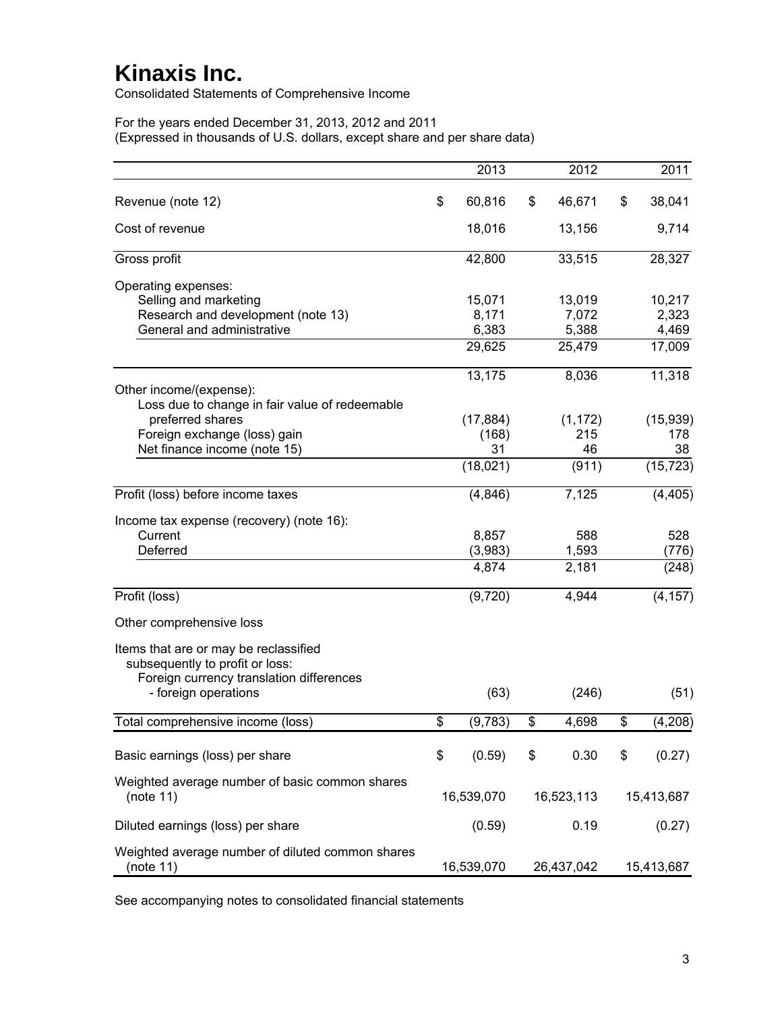Consolidated Statements of Comprehensive Income

For the years ended December 31, 2013, 2012 and 2011 (Expressed in thousands of U.S. dollars, except share and per share data)

|                                                                                                                                                                          | 2013                               | 2012                               | 2011                               |
|--------------------------------------------------------------------------------------------------------------------------------------------------------------------------|------------------------------------|------------------------------------|------------------------------------|
| Revenue (note 12)                                                                                                                                                        | \$<br>60,816                       | \$<br>46,671                       | \$<br>38,041                       |
| Cost of revenue                                                                                                                                                          | 18,016                             | 13,156                             | 9,714                              |
| Gross profit                                                                                                                                                             | 42,800                             | 33,515                             | 28,327                             |
| Operating expenses:<br>Selling and marketing<br>Research and development (note 13)<br>General and administrative                                                         | 15,071<br>8,171<br>6,383<br>29,625 | 13,019<br>7,072<br>5,388<br>25,479 | 10,217<br>2,323<br>4,469<br>17,009 |
| Other income/(expense):<br>Loss due to change in fair value of redeemable                                                                                                | 13,175                             | 8,036                              | 11,318                             |
| preferred shares<br>Foreign exchange (loss) gain<br>Net finance income (note 15)                                                                                         | (17, 884)<br>(168)<br>31           | (1, 172)<br>215<br>46              | (15, 939)<br>178<br>38             |
|                                                                                                                                                                          | (18,021)                           | (911)                              | (15, 723)                          |
| Profit (loss) before income taxes                                                                                                                                        | (4, 846)                           | 7,125                              | (4, 405)                           |
| Income tax expense (recovery) (note 16):<br>Current<br>Deferred                                                                                                          | 8,857<br>(3,983)<br>4,874          | 588<br>1,593<br>2,181              | 528<br>(776)<br>(248)              |
| Profit (loss)                                                                                                                                                            | (9,720)                            | 4,944                              | (4, 157)                           |
| Other comprehensive loss<br>Items that are or may be reclassified<br>subsequently to profit or loss:<br>Foreign currency translation differences<br>- foreign operations | (63)                               | (246)                              | (51)                               |
| Total comprehensive income (loss)                                                                                                                                        | \$<br>(9,783)                      | \$<br>4,698                        | \$<br>(4, 208)                     |
| Basic earnings (loss) per share                                                                                                                                          | \$<br>(0.59)                       | \$<br>0.30                         | \$<br>(0.27)                       |
| Weighted average number of basic common shares<br>(note 11)                                                                                                              | 16,539,070                         | 16,523,113                         | 15,413,687                         |
| Diluted earnings (loss) per share                                                                                                                                        | (0.59)                             | 0.19                               | (0.27)                             |
| Weighted average number of diluted common shares<br>(note 11)                                                                                                            | 16,539,070                         | 26,437,042                         | 15,413,687                         |

See accompanying notes to consolidated financial statements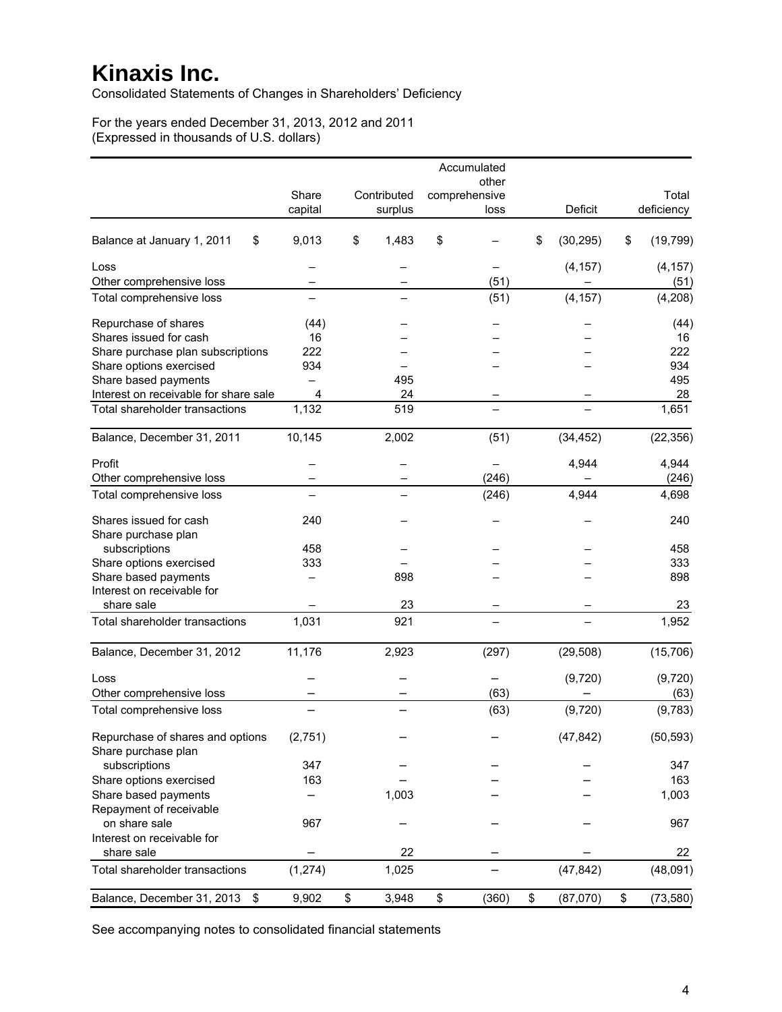Consolidated Statements of Changes in Shareholders' Deficiency

For the years ended December 31, 2013, 2012 and 2011 (Expressed in thousands of U.S. dollars)

|                                       |                |             | Accumulated   |                 |                 |
|---------------------------------------|----------------|-------------|---------------|-----------------|-----------------|
|                                       |                |             | other         |                 |                 |
|                                       | Share          | Contributed | comprehensive |                 | Total           |
|                                       | capital        | surplus     | loss          | Deficit         | deficiency      |
| \$<br>Balance at January 1, 2011      | 9,013          | \$<br>1,483 | \$            | \$<br>(30, 295) | \$<br>(19, 799) |
| Loss                                  |                |             |               | (4, 157)        | (4, 157)        |
| Other comprehensive loss              |                |             | (51)          |                 | (51)            |
| Total comprehensive loss              |                |             | (51)          | (4, 157)        | (4, 208)        |
| Repurchase of shares                  | (44)           |             |               |                 | (44)            |
| Shares issued for cash                | 16             |             |               |                 | 16              |
| Share purchase plan subscriptions     | 222            |             |               |                 | 222             |
| Share options exercised               | 934            |             |               |                 | 934             |
| Share based payments                  |                | 495         |               |                 | 495             |
| Interest on receivable for share sale | $\overline{4}$ | 24          |               |                 | 28              |
| Total shareholder transactions        | 1,132          | 519         |               |                 | 1,651           |
| Balance, December 31, 2011            | 10,145         | 2,002       | (51)          | (34, 452)       | (22, 356)       |
| Profit                                |                |             |               | 4,944           | 4,944           |
| Other comprehensive loss              |                |             | (246)         |                 | (246)           |
| Total comprehensive loss              |                |             | (246)         | 4,944           | 4,698           |
| Shares issued for cash                | 240            |             |               |                 | 240             |
| Share purchase plan                   |                |             |               |                 |                 |
| subscriptions                         | 458            |             |               |                 | 458             |
| Share options exercised               | 333            |             |               |                 | 333             |
| Share based payments                  |                | 898         |               |                 | 898             |
| Interest on receivable for            |                |             |               |                 |                 |
| share sale                            |                | 23          |               |                 | 23              |
| Total shareholder transactions        | 1,031          | 921         |               |                 | 1,952           |
|                                       |                |             |               |                 |                 |
| Balance, December 31, 2012            | 11,176         | 2,923       | (297)         | (29, 508)       | (15, 706)       |
| Loss                                  |                |             |               | (9,720)         | (9,720)         |
| Other comprehensive loss              |                |             | (63)          |                 | (63)            |
| Total comprehensive loss              |                |             | (63)          | (9,720)         | (9,783)         |
| Repurchase of shares and options      | (2,751)        |             |               | (47, 842)       | (50, 593)       |
| Share purchase plan                   |                |             |               |                 |                 |
| subscriptions                         | 347            |             |               |                 | 347             |
| Share options exercised               | 163            |             |               |                 | 163             |
| Share based payments                  |                | 1,003       |               |                 | 1,003           |
| Repayment of receivable               |                |             |               |                 |                 |
| on share sale                         | 967            |             |               |                 | 967             |
| Interest on receivable for            |                |             |               |                 |                 |
| share sale                            |                | 22          |               |                 | 22              |
| Total shareholder transactions        | (1, 274)       | 1,025       |               | (47, 842)       | (48,091)        |
|                                       |                |             |               |                 |                 |
| Balance, December 31, 2013<br>\$      | 9,902          | \$<br>3,948 | \$<br>(360)   | \$<br>(87,070)  | \$<br>(73, 580) |

See accompanying notes to consolidated financial statements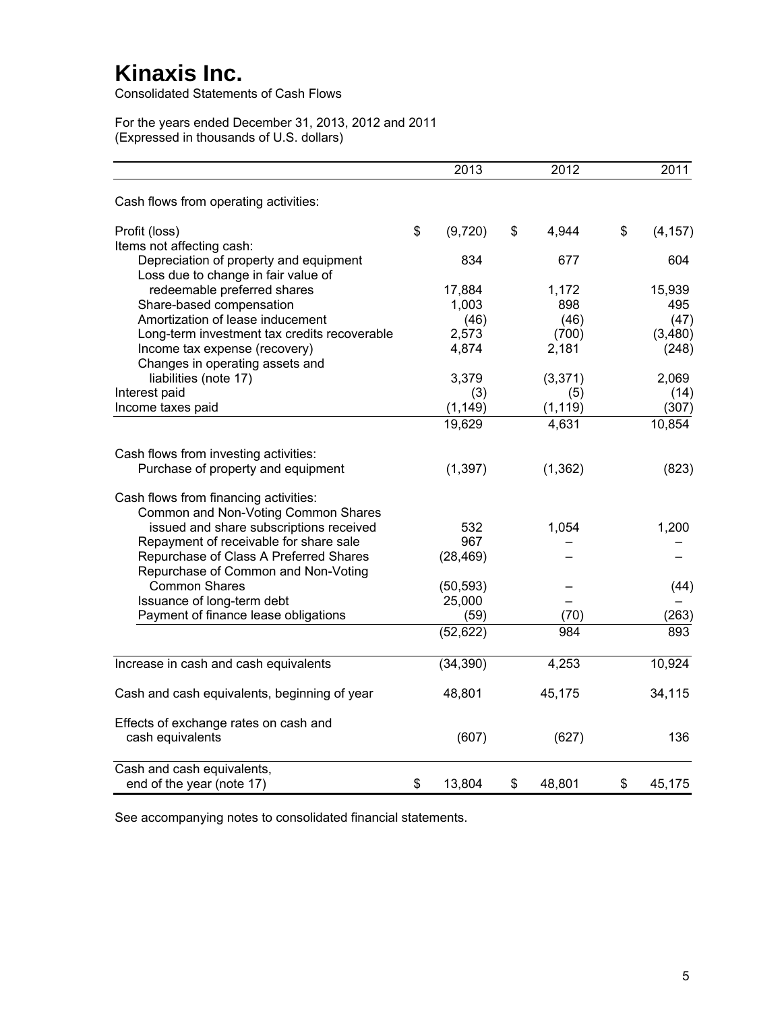Consolidated Statements of Cash Flows

For the years ended December 31, 2013, 2012 and 2011 (Expressed in thousands of U.S. dollars)

|                                              | 2013          | 2012         |              | 2011     |
|----------------------------------------------|---------------|--------------|--------------|----------|
| Cash flows from operating activities:        |               |              |              |          |
| Profit (loss)                                | \$<br>(9,720) | \$<br>4,944  | $\mathbb{S}$ | (4, 157) |
| Items not affecting cash:                    |               |              |              |          |
| Depreciation of property and equipment       | 834           | 677          |              | 604      |
| Loss due to change in fair value of          |               |              |              |          |
| redeemable preferred shares                  | 17,884        | 1,172        |              | 15,939   |
| Share-based compensation                     | 1,003         | 898          |              | 495      |
| Amortization of lease inducement             | (46)          | (46)         |              | (47)     |
| Long-term investment tax credits recoverable | 2,573         | (700)        |              | (3,480)  |
| Income tax expense (recovery)                | 4,874         | 2,181        |              | (248)    |
| Changes in operating assets and              |               |              |              |          |
| liabilities (note 17)                        | 3,379         | (3, 371)     |              | 2,069    |
| Interest paid                                | (3)           | (5)          |              | (14)     |
| Income taxes paid                            | (1, 149)      | (1, 119)     |              | (307)    |
|                                              | 19,629        | 4,631        |              | 10,854   |
| Cash flows from investing activities:        |               |              |              |          |
| Purchase of property and equipment           | (1, 397)      | (1, 362)     |              | (823)    |
| Cash flows from financing activities:        |               |              |              |          |
| Common and Non-Voting Common Shares          |               |              |              |          |
| issued and share subscriptions received      | 532           | 1,054        |              | 1,200    |
| Repayment of receivable for share sale       | 967           |              |              |          |
| Repurchase of Class A Preferred Shares       | (28, 469)     |              |              |          |
| Repurchase of Common and Non-Voting          |               |              |              |          |
| <b>Common Shares</b>                         | (50, 593)     |              |              | (44)     |
| Issuance of long-term debt                   | 25,000        |              |              |          |
| Payment of finance lease obligations         | (59)          | (70)         |              | (263)    |
|                                              | (52, 622)     | 984          |              | 893      |
| Increase in cash and cash equivalents        | (34, 390)     | 4,253        |              | 10,924   |
|                                              |               |              |              |          |
| Cash and cash equivalents, beginning of year | 48,801        | 45,175       |              | 34,115   |
| Effects of exchange rates on cash and        |               |              |              |          |
| cash equivalents                             | (607)         | (627)        |              | 136      |
| Cash and cash equivalents,                   |               |              |              |          |
| end of the year (note 17)                    | \$<br>13,804  | \$<br>48,801 | \$           | 45,175   |

See accompanying notes to consolidated financial statements.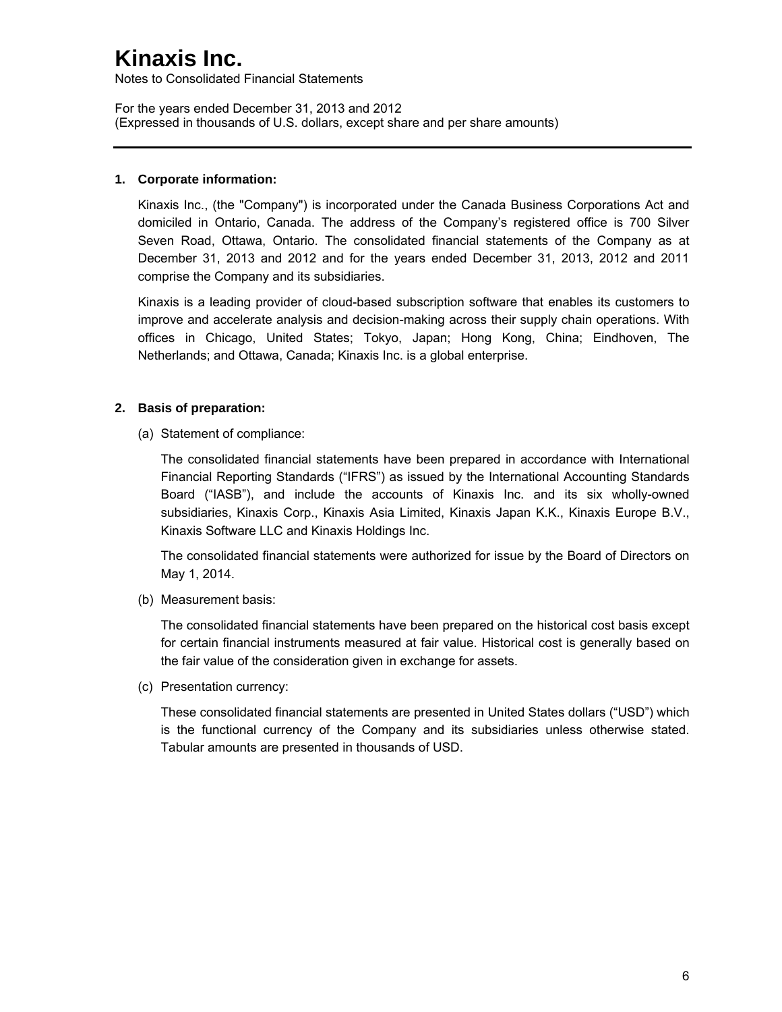Notes to Consolidated Financial Statements

For the years ended December 31, 2013 and 2012 (Expressed in thousands of U.S. dollars, except share and per share amounts)

### **1. Corporate information:**

Kinaxis Inc., (the "Company") is incorporated under the Canada Business Corporations Act and domiciled in Ontario, Canada. The address of the Company's registered office is 700 Silver Seven Road, Ottawa, Ontario. The consolidated financial statements of the Company as at December 31, 2013 and 2012 and for the years ended December 31, 2013, 2012 and 2011 comprise the Company and its subsidiaries.

Kinaxis is a leading provider of cloud-based subscription software that enables its customers to improve and accelerate analysis and decision-making across their supply chain operations. With offices in Chicago, United States; Tokyo, Japan; Hong Kong, China; Eindhoven, The Netherlands; and Ottawa, Canada; Kinaxis Inc. is a global enterprise.

## **2. Basis of preparation:**

(a) Statement of compliance:

The consolidated financial statements have been prepared in accordance with International Financial Reporting Standards ("IFRS") as issued by the International Accounting Standards Board ("IASB"), and include the accounts of Kinaxis Inc. and its six wholly-owned subsidiaries, Kinaxis Corp., Kinaxis Asia Limited, Kinaxis Japan K.K., Kinaxis Europe B.V., Kinaxis Software LLC and Kinaxis Holdings Inc.

The consolidated financial statements were authorized for issue by the Board of Directors on May 1, 2014.

(b) Measurement basis:

The consolidated financial statements have been prepared on the historical cost basis except for certain financial instruments measured at fair value. Historical cost is generally based on the fair value of the consideration given in exchange for assets.

(c) Presentation currency:

These consolidated financial statements are presented in United States dollars ("USD") which is the functional currency of the Company and its subsidiaries unless otherwise stated. Tabular amounts are presented in thousands of USD.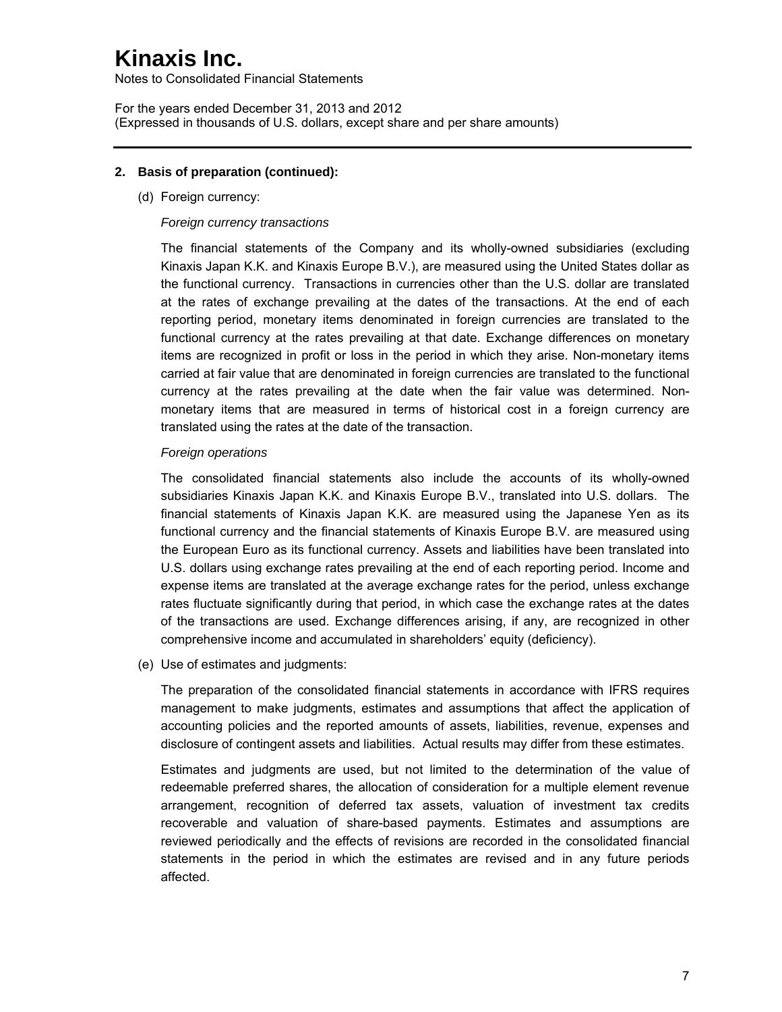Notes to Consolidated Financial Statements

For the years ended December 31, 2013 and 2012 (Expressed in thousands of U.S. dollars, except share and per share amounts)

### **2. Basis of preparation (continued):**

(d) Foreign currency:

#### *Foreign currency transactions*

The financial statements of the Company and its wholly-owned subsidiaries (excluding Kinaxis Japan K.K. and Kinaxis Europe B.V.), are measured using the United States dollar as the functional currency. Transactions in currencies other than the U.S. dollar are translated at the rates of exchange prevailing at the dates of the transactions. At the end of each reporting period, monetary items denominated in foreign currencies are translated to the functional currency at the rates prevailing at that date. Exchange differences on monetary items are recognized in profit or loss in the period in which they arise. Non-monetary items carried at fair value that are denominated in foreign currencies are translated to the functional currency at the rates prevailing at the date when the fair value was determined. Nonmonetary items that are measured in terms of historical cost in a foreign currency are translated using the rates at the date of the transaction.

#### *Foreign operations*

The consolidated financial statements also include the accounts of its wholly-owned subsidiaries Kinaxis Japan K.K. and Kinaxis Europe B.V., translated into U.S. dollars. The financial statements of Kinaxis Japan K.K. are measured using the Japanese Yen as its functional currency and the financial statements of Kinaxis Europe B.V. are measured using the European Euro as its functional currency. Assets and liabilities have been translated into U.S. dollars using exchange rates prevailing at the end of each reporting period. Income and expense items are translated at the average exchange rates for the period, unless exchange rates fluctuate significantly during that period, in which case the exchange rates at the dates of the transactions are used. Exchange differences arising, if any, are recognized in other comprehensive income and accumulated in shareholders' equity (deficiency).

(e) Use of estimates and judgments:

The preparation of the consolidated financial statements in accordance with IFRS requires management to make judgments, estimates and assumptions that affect the application of accounting policies and the reported amounts of assets, liabilities, revenue, expenses and disclosure of contingent assets and liabilities. Actual results may differ from these estimates.

Estimates and judgments are used, but not limited to the determination of the value of redeemable preferred shares, the allocation of consideration for a multiple element revenue arrangement, recognition of deferred tax assets, valuation of investment tax credits recoverable and valuation of share-based payments. Estimates and assumptions are reviewed periodically and the effects of revisions are recorded in the consolidated financial statements in the period in which the estimates are revised and in any future periods affected.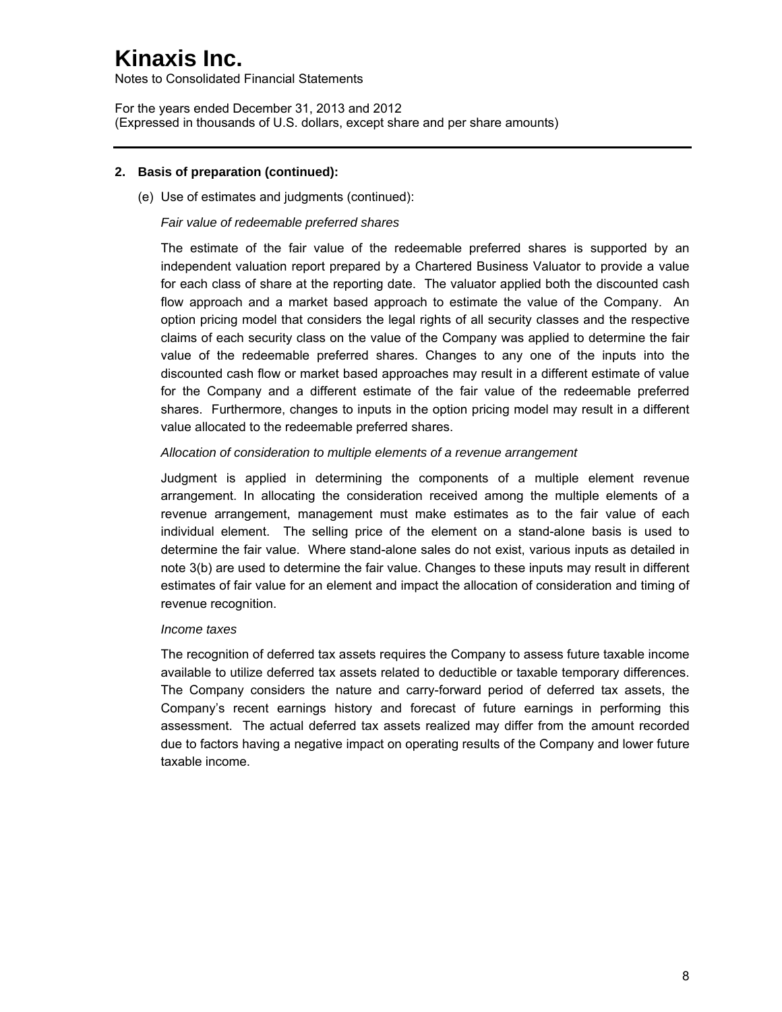Notes to Consolidated Financial Statements

For the years ended December 31, 2013 and 2012 (Expressed in thousands of U.S. dollars, except share and per share amounts)

### **2. Basis of preparation (continued):**

(e) Use of estimates and judgments (continued):

#### *Fair value of redeemable preferred shares*

The estimate of the fair value of the redeemable preferred shares is supported by an independent valuation report prepared by a Chartered Business Valuator to provide a value for each class of share at the reporting date. The valuator applied both the discounted cash flow approach and a market based approach to estimate the value of the Company. An option pricing model that considers the legal rights of all security classes and the respective claims of each security class on the value of the Company was applied to determine the fair value of the redeemable preferred shares. Changes to any one of the inputs into the discounted cash flow or market based approaches may result in a different estimate of value for the Company and a different estimate of the fair value of the redeemable preferred shares. Furthermore, changes to inputs in the option pricing model may result in a different value allocated to the redeemable preferred shares.

#### *Allocation of consideration to multiple elements of a revenue arrangement*

Judgment is applied in determining the components of a multiple element revenue arrangement. In allocating the consideration received among the multiple elements of a revenue arrangement, management must make estimates as to the fair value of each individual element. The selling price of the element on a stand-alone basis is used to determine the fair value. Where stand-alone sales do not exist, various inputs as detailed in note 3(b) are used to determine the fair value. Changes to these inputs may result in different estimates of fair value for an element and impact the allocation of consideration and timing of revenue recognition.

#### *Income taxes*

The recognition of deferred tax assets requires the Company to assess future taxable income available to utilize deferred tax assets related to deductible or taxable temporary differences. The Company considers the nature and carry-forward period of deferred tax assets, the Company's recent earnings history and forecast of future earnings in performing this assessment. The actual deferred tax assets realized may differ from the amount recorded due to factors having a negative impact on operating results of the Company and lower future taxable income.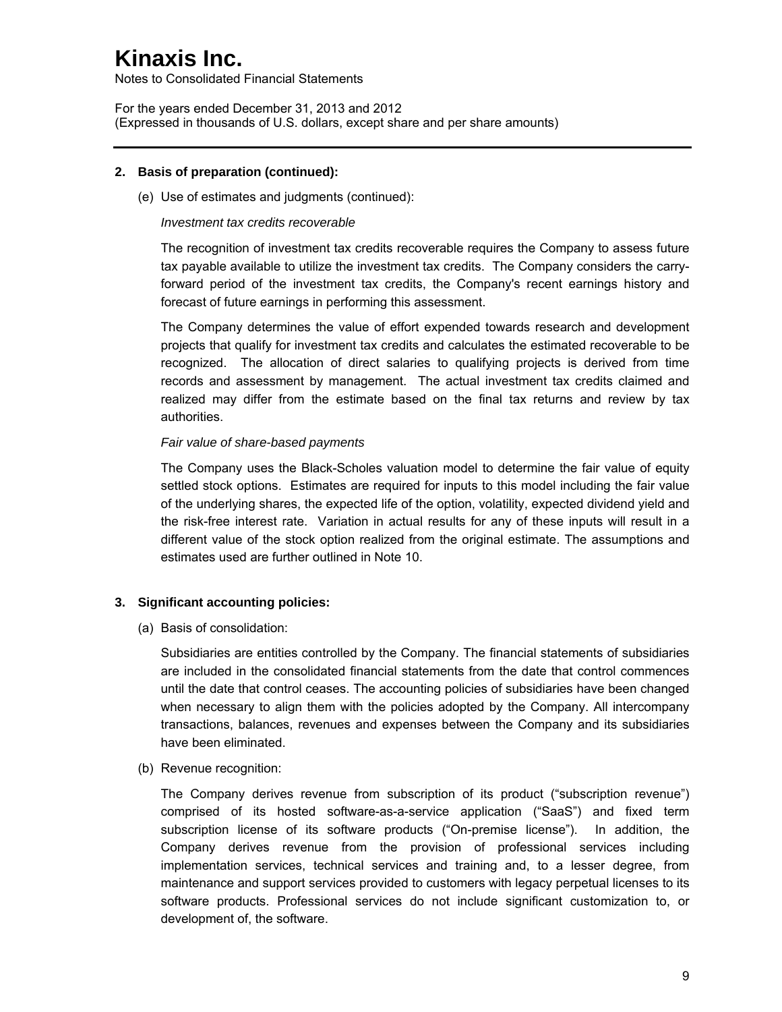Notes to Consolidated Financial Statements

For the years ended December 31, 2013 and 2012 (Expressed in thousands of U.S. dollars, except share and per share amounts)

### **2. Basis of preparation (continued):**

(e) Use of estimates and judgments (continued):

#### *Investment tax credits recoverable*

The recognition of investment tax credits recoverable requires the Company to assess future tax payable available to utilize the investment tax credits. The Company considers the carryforward period of the investment tax credits, the Company's recent earnings history and forecast of future earnings in performing this assessment.

The Company determines the value of effort expended towards research and development projects that qualify for investment tax credits and calculates the estimated recoverable to be recognized. The allocation of direct salaries to qualifying projects is derived from time records and assessment by management. The actual investment tax credits claimed and realized may differ from the estimate based on the final tax returns and review by tax authorities.

#### *Fair value of share-based payments*

The Company uses the Black-Scholes valuation model to determine the fair value of equity settled stock options. Estimates are required for inputs to this model including the fair value of the underlying shares, the expected life of the option, volatility, expected dividend yield and the risk-free interest rate. Variation in actual results for any of these inputs will result in a different value of the stock option realized from the original estimate. The assumptions and estimates used are further outlined in Note 10.

### **3. Significant accounting policies:**

(a) Basis of consolidation:

Subsidiaries are entities controlled by the Company. The financial statements of subsidiaries are included in the consolidated financial statements from the date that control commences until the date that control ceases. The accounting policies of subsidiaries have been changed when necessary to align them with the policies adopted by the Company. All intercompany transactions, balances, revenues and expenses between the Company and its subsidiaries have been eliminated.

(b) Revenue recognition:

The Company derives revenue from subscription of its product ("subscription revenue") comprised of its hosted software-as-a-service application ("SaaS") and fixed term subscription license of its software products ("On-premise license"). In addition, the Company derives revenue from the provision of professional services including implementation services, technical services and training and, to a lesser degree, from maintenance and support services provided to customers with legacy perpetual licenses to its software products. Professional services do not include significant customization to, or development of, the software.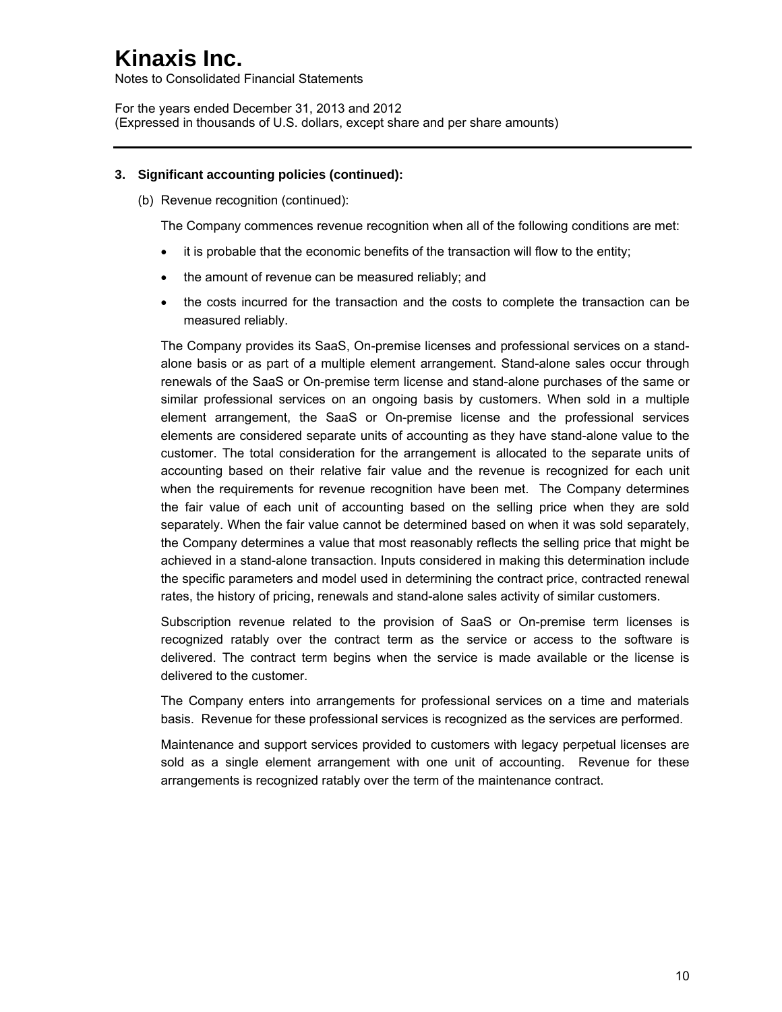Notes to Consolidated Financial Statements

For the years ended December 31, 2013 and 2012 (Expressed in thousands of U.S. dollars, except share and per share amounts)

### **3. Significant accounting policies (continued):**

(b) Revenue recognition (continued):

The Company commences revenue recognition when all of the following conditions are met:

- it is probable that the economic benefits of the transaction will flow to the entity;
- the amount of revenue can be measured reliably; and
- the costs incurred for the transaction and the costs to complete the transaction can be measured reliably.

The Company provides its SaaS, On-premise licenses and professional services on a standalone basis or as part of a multiple element arrangement. Stand-alone sales occur through renewals of the SaaS or On-premise term license and stand-alone purchases of the same or similar professional services on an ongoing basis by customers. When sold in a multiple element arrangement, the SaaS or On-premise license and the professional services elements are considered separate units of accounting as they have stand-alone value to the customer. The total consideration for the arrangement is allocated to the separate units of accounting based on their relative fair value and the revenue is recognized for each unit when the requirements for revenue recognition have been met. The Company determines the fair value of each unit of accounting based on the selling price when they are sold separately. When the fair value cannot be determined based on when it was sold separately, the Company determines a value that most reasonably reflects the selling price that might be achieved in a stand-alone transaction. Inputs considered in making this determination include the specific parameters and model used in determining the contract price, contracted renewal rates, the history of pricing, renewals and stand-alone sales activity of similar customers.

Subscription revenue related to the provision of SaaS or On-premise term licenses is recognized ratably over the contract term as the service or access to the software is delivered. The contract term begins when the service is made available or the license is delivered to the customer.

The Company enters into arrangements for professional services on a time and materials basis. Revenue for these professional services is recognized as the services are performed.

Maintenance and support services provided to customers with legacy perpetual licenses are sold as a single element arrangement with one unit of accounting. Revenue for these arrangements is recognized ratably over the term of the maintenance contract.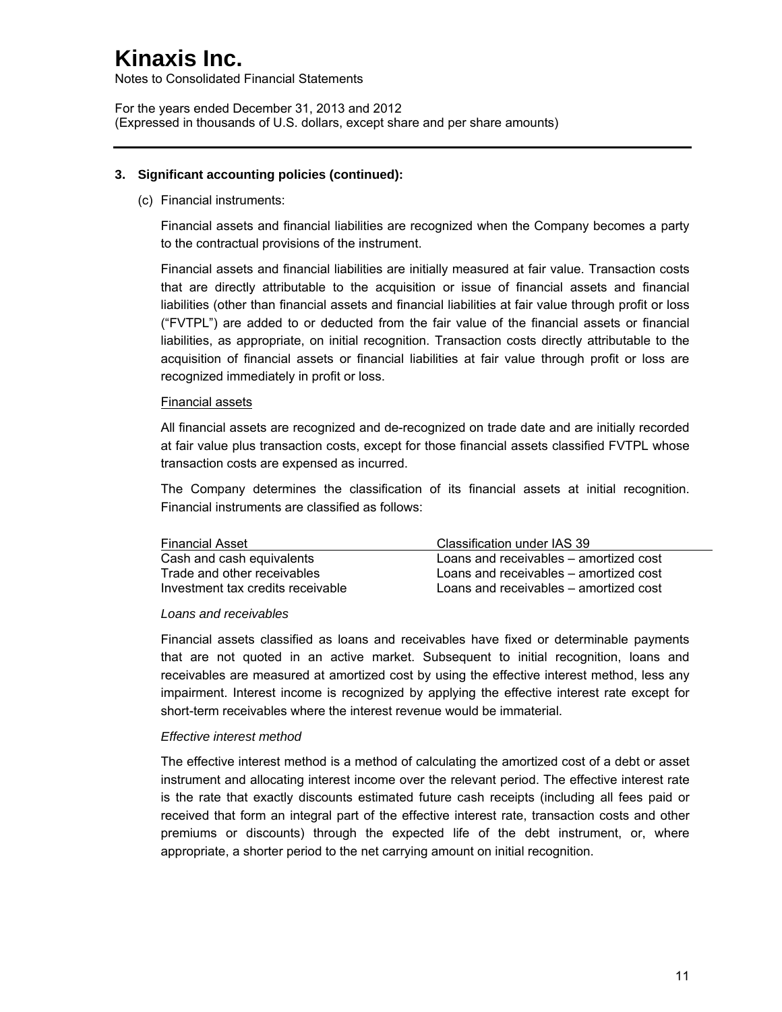Notes to Consolidated Financial Statements

For the years ended December 31, 2013 and 2012 (Expressed in thousands of U.S. dollars, except share and per share amounts)

### **3. Significant accounting policies (continued):**

(c) Financial instruments:

Financial assets and financial liabilities are recognized when the Company becomes a party to the contractual provisions of the instrument.

Financial assets and financial liabilities are initially measured at fair value. Transaction costs that are directly attributable to the acquisition or issue of financial assets and financial liabilities (other than financial assets and financial liabilities at fair value through profit or loss ("FVTPL") are added to or deducted from the fair value of the financial assets or financial liabilities, as appropriate, on initial recognition. Transaction costs directly attributable to the acquisition of financial assets or financial liabilities at fair value through profit or loss are recognized immediately in profit or loss.

### Financial assets

All financial assets are recognized and de-recognized on trade date and are initially recorded at fair value plus transaction costs, except for those financial assets classified FVTPL whose transaction costs are expensed as incurred.

The Company determines the classification of its financial assets at initial recognition. Financial instruments are classified as follows:

| <b>Financial Asset</b>            | Classification under IAS 39            |
|-----------------------------------|----------------------------------------|
| Cash and cash equivalents         | Loans and receivables – amortized cost |
| Trade and other receivables       | Loans and receivables – amortized cost |
| Investment tax credits receivable | Loans and receivables - amortized cost |

### *Loans and receivables*

Financial assets classified as loans and receivables have fixed or determinable payments that are not quoted in an active market. Subsequent to initial recognition, loans and receivables are measured at amortized cost by using the effective interest method, less any impairment. Interest income is recognized by applying the effective interest rate except for short-term receivables where the interest revenue would be immaterial.

### *Effective interest method*

The effective interest method is a method of calculating the amortized cost of a debt or asset instrument and allocating interest income over the relevant period. The effective interest rate is the rate that exactly discounts estimated future cash receipts (including all fees paid or received that form an integral part of the effective interest rate, transaction costs and other premiums or discounts) through the expected life of the debt instrument, or, where appropriate, a shorter period to the net carrying amount on initial recognition.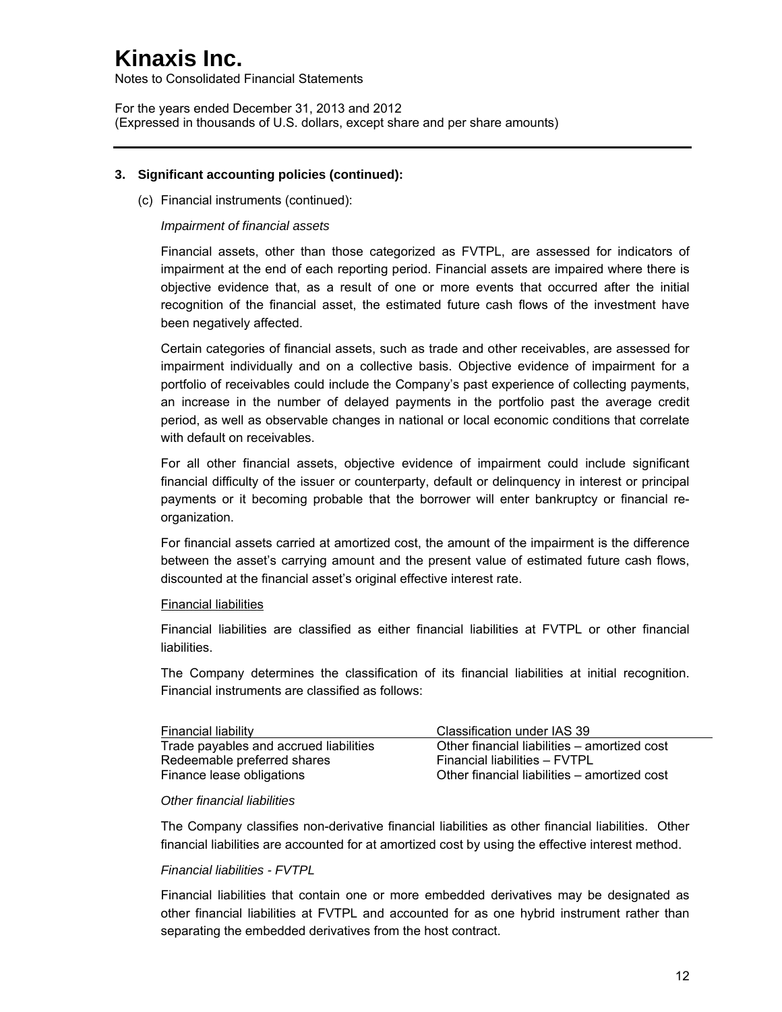Notes to Consolidated Financial Statements

For the years ended December 31, 2013 and 2012 (Expressed in thousands of U.S. dollars, except share and per share amounts)

#### **3. Significant accounting policies (continued):**

(c) Financial instruments (continued):

### *Impairment of financial assets*

Financial assets, other than those categorized as FVTPL, are assessed for indicators of impairment at the end of each reporting period. Financial assets are impaired where there is objective evidence that, as a result of one or more events that occurred after the initial recognition of the financial asset, the estimated future cash flows of the investment have been negatively affected.

Certain categories of financial assets, such as trade and other receivables, are assessed for impairment individually and on a collective basis. Objective evidence of impairment for a portfolio of receivables could include the Company's past experience of collecting payments, an increase in the number of delayed payments in the portfolio past the average credit period, as well as observable changes in national or local economic conditions that correlate with default on receivables.

For all other financial assets, objective evidence of impairment could include significant financial difficulty of the issuer or counterparty, default or delinquency in interest or principal payments or it becoming probable that the borrower will enter bankruptcy or financial reorganization.

For financial assets carried at amortized cost, the amount of the impairment is the difference between the asset's carrying amount and the present value of estimated future cash flows, discounted at the financial asset's original effective interest rate.

#### Financial liabilities

Financial liabilities are classified as either financial liabilities at FVTPL or other financial liabilities.

The Company determines the classification of its financial liabilities at initial recognition. Financial instruments are classified as follows:

| Financial liability                    | Classification under IAS 39                  |
|----------------------------------------|----------------------------------------------|
| Trade payables and accrued liabilities | Other financial liabilities – amortized cost |
| Redeemable preferred shares            | Financial liabilities - FVTPL                |
| Finance lease obligations              | Other financial liabilities - amortized cost |

#### *Other financial liabilities*

The Company classifies non-derivative financial liabilities as other financial liabilities. Other financial liabilities are accounted for at amortized cost by using the effective interest method.

#### *Financial liabilities - FVTPL*

Financial liabilities that contain one or more embedded derivatives may be designated as other financial liabilities at FVTPL and accounted for as one hybrid instrument rather than separating the embedded derivatives from the host contract.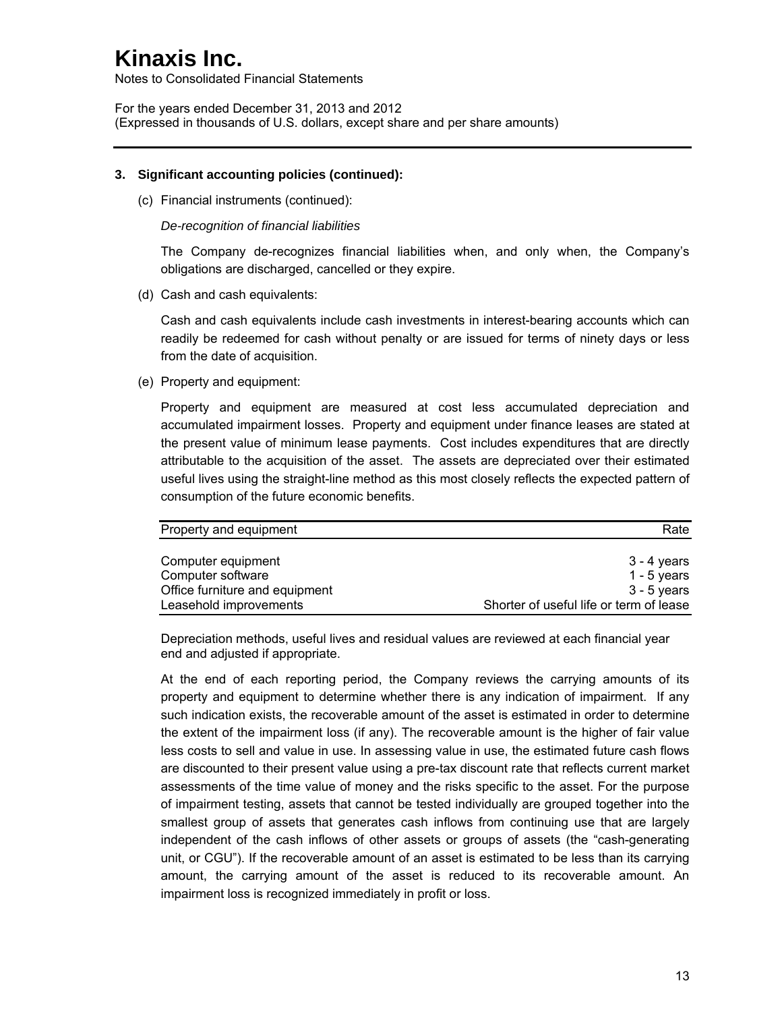Notes to Consolidated Financial Statements

For the years ended December 31, 2013 and 2012 (Expressed in thousands of U.S. dollars, except share and per share amounts)

#### **3. Significant accounting policies (continued):**

(c) Financial instruments (continued):

*De-recognition of financial liabilities* 

The Company de-recognizes financial liabilities when, and only when, the Company's obligations are discharged, cancelled or they expire.

(d) Cash and cash equivalents:

Cash and cash equivalents include cash investments in interest-bearing accounts which can readily be redeemed for cash without penalty or are issued for terms of ninety days or less from the date of acquisition.

(e) Property and equipment:

Property and equipment are measured at cost less accumulated depreciation and accumulated impairment losses. Property and equipment under finance leases are stated at the present value of minimum lease payments. Cost includes expenditures that are directly attributable to the acquisition of the asset. The assets are depreciated over their estimated useful lives using the straight-line method as this most closely reflects the expected pattern of consumption of the future economic benefits.

| Property and equipment         | Rate                                    |
|--------------------------------|-----------------------------------------|
| Computer equipment             | 3 - 4 years                             |
| Computer software              | 1 - 5 years                             |
| Office furniture and equipment | $3 - 5$ years                           |
| Leasehold improvements         | Shorter of useful life or term of lease |

Depreciation methods, useful lives and residual values are reviewed at each financial year end and adjusted if appropriate.

At the end of each reporting period, the Company reviews the carrying amounts of its property and equipment to determine whether there is any indication of impairment. If any such indication exists, the recoverable amount of the asset is estimated in order to determine the extent of the impairment loss (if any). The recoverable amount is the higher of fair value less costs to sell and value in use. In assessing value in use, the estimated future cash flows are discounted to their present value using a pre-tax discount rate that reflects current market assessments of the time value of money and the risks specific to the asset. For the purpose of impairment testing, assets that cannot be tested individually are grouped together into the smallest group of assets that generates cash inflows from continuing use that are largely independent of the cash inflows of other assets or groups of assets (the "cash-generating unit, or CGU"). If the recoverable amount of an asset is estimated to be less than its carrying amount, the carrying amount of the asset is reduced to its recoverable amount. An impairment loss is recognized immediately in profit or loss.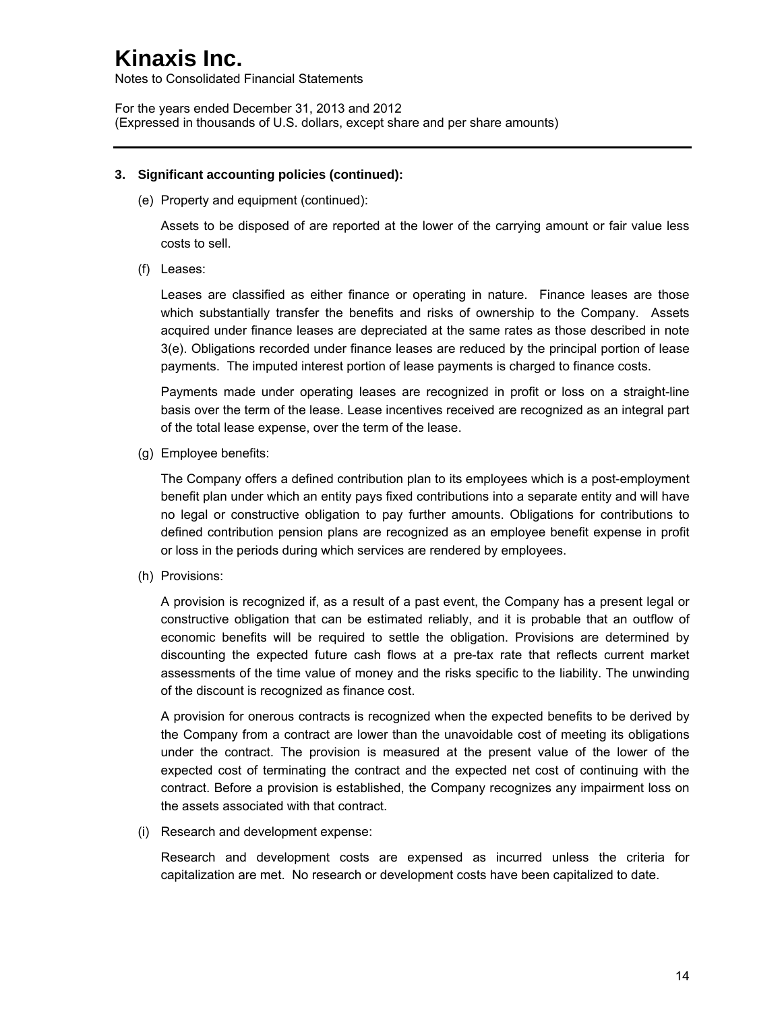Notes to Consolidated Financial Statements

For the years ended December 31, 2013 and 2012 (Expressed in thousands of U.S. dollars, except share and per share amounts)

### **3. Significant accounting policies (continued):**

(e) Property and equipment (continued):

Assets to be disposed of are reported at the lower of the carrying amount or fair value less costs to sell.

(f) Leases:

Leases are classified as either finance or operating in nature. Finance leases are those which substantially transfer the benefits and risks of ownership to the Company. Assets acquired under finance leases are depreciated at the same rates as those described in note 3(e). Obligations recorded under finance leases are reduced by the principal portion of lease payments. The imputed interest portion of lease payments is charged to finance costs.

Payments made under operating leases are recognized in profit or loss on a straight-line basis over the term of the lease. Lease incentives received are recognized as an integral part of the total lease expense, over the term of the lease.

(g) Employee benefits:

The Company offers a defined contribution plan to its employees which is a post-employment benefit plan under which an entity pays fixed contributions into a separate entity and will have no legal or constructive obligation to pay further amounts. Obligations for contributions to defined contribution pension plans are recognized as an employee benefit expense in profit or loss in the periods during which services are rendered by employees.

(h) Provisions:

A provision is recognized if, as a result of a past event, the Company has a present legal or constructive obligation that can be estimated reliably, and it is probable that an outflow of economic benefits will be required to settle the obligation. Provisions are determined by discounting the expected future cash flows at a pre-tax rate that reflects current market assessments of the time value of money and the risks specific to the liability. The unwinding of the discount is recognized as finance cost.

A provision for onerous contracts is recognized when the expected benefits to be derived by the Company from a contract are lower than the unavoidable cost of meeting its obligations under the contract. The provision is measured at the present value of the lower of the expected cost of terminating the contract and the expected net cost of continuing with the contract. Before a provision is established, the Company recognizes any impairment loss on the assets associated with that contract.

(i) Research and development expense:

Research and development costs are expensed as incurred unless the criteria for capitalization are met. No research or development costs have been capitalized to date.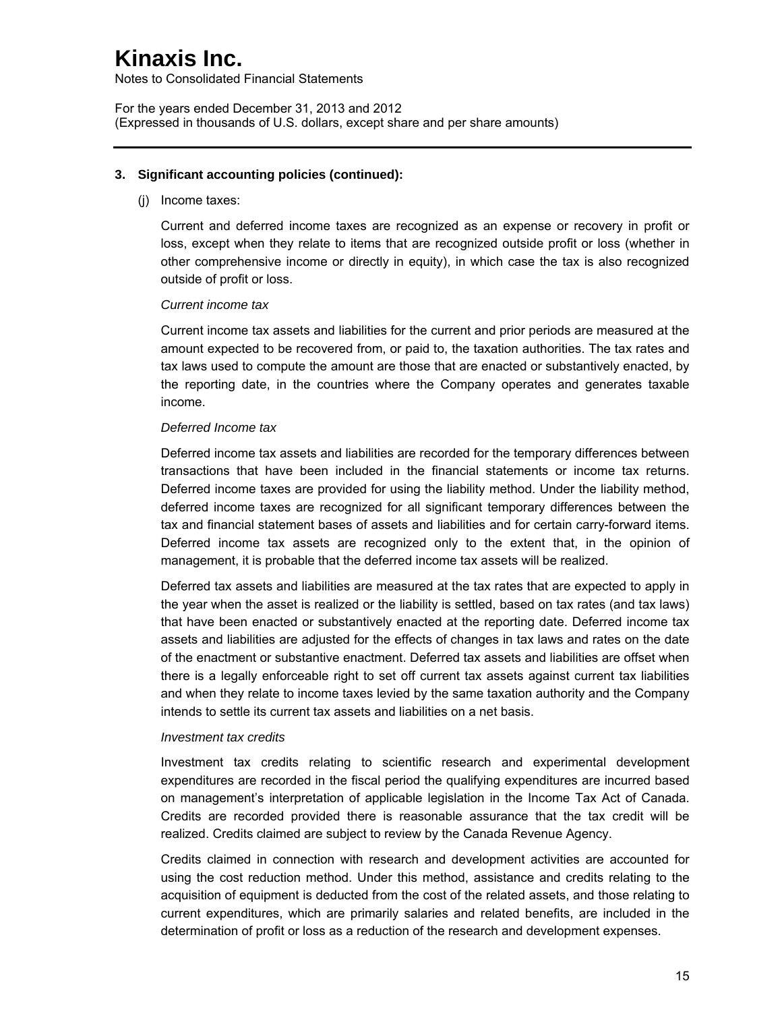Notes to Consolidated Financial Statements

For the years ended December 31, 2013 and 2012 (Expressed in thousands of U.S. dollars, except share and per share amounts)

#### **3. Significant accounting policies (continued):**

(j) Income taxes:

Current and deferred income taxes are recognized as an expense or recovery in profit or loss, except when they relate to items that are recognized outside profit or loss (whether in other comprehensive income or directly in equity), in which case the tax is also recognized outside of profit or loss.

#### *Current income tax*

Current income tax assets and liabilities for the current and prior periods are measured at the amount expected to be recovered from, or paid to, the taxation authorities. The tax rates and tax laws used to compute the amount are those that are enacted or substantively enacted, by the reporting date, in the countries where the Company operates and generates taxable income.

#### *Deferred Income tax*

Deferred income tax assets and liabilities are recorded for the temporary differences between transactions that have been included in the financial statements or income tax returns. Deferred income taxes are provided for using the liability method. Under the liability method, deferred income taxes are recognized for all significant temporary differences between the tax and financial statement bases of assets and liabilities and for certain carry-forward items. Deferred income tax assets are recognized only to the extent that, in the opinion of management, it is probable that the deferred income tax assets will be realized.

Deferred tax assets and liabilities are measured at the tax rates that are expected to apply in the year when the asset is realized or the liability is settled, based on tax rates (and tax laws) that have been enacted or substantively enacted at the reporting date. Deferred income tax assets and liabilities are adjusted for the effects of changes in tax laws and rates on the date of the enactment or substantive enactment. Deferred tax assets and liabilities are offset when there is a legally enforceable right to set off current tax assets against current tax liabilities and when they relate to income taxes levied by the same taxation authority and the Company intends to settle its current tax assets and liabilities on a net basis.

#### *Investment tax credits*

Investment tax credits relating to scientific research and experimental development expenditures are recorded in the fiscal period the qualifying expenditures are incurred based on management's interpretation of applicable legislation in the Income Tax Act of Canada. Credits are recorded provided there is reasonable assurance that the tax credit will be realized. Credits claimed are subject to review by the Canada Revenue Agency.

Credits claimed in connection with research and development activities are accounted for using the cost reduction method. Under this method, assistance and credits relating to the acquisition of equipment is deducted from the cost of the related assets, and those relating to current expenditures, which are primarily salaries and related benefits, are included in the determination of profit or loss as a reduction of the research and development expenses.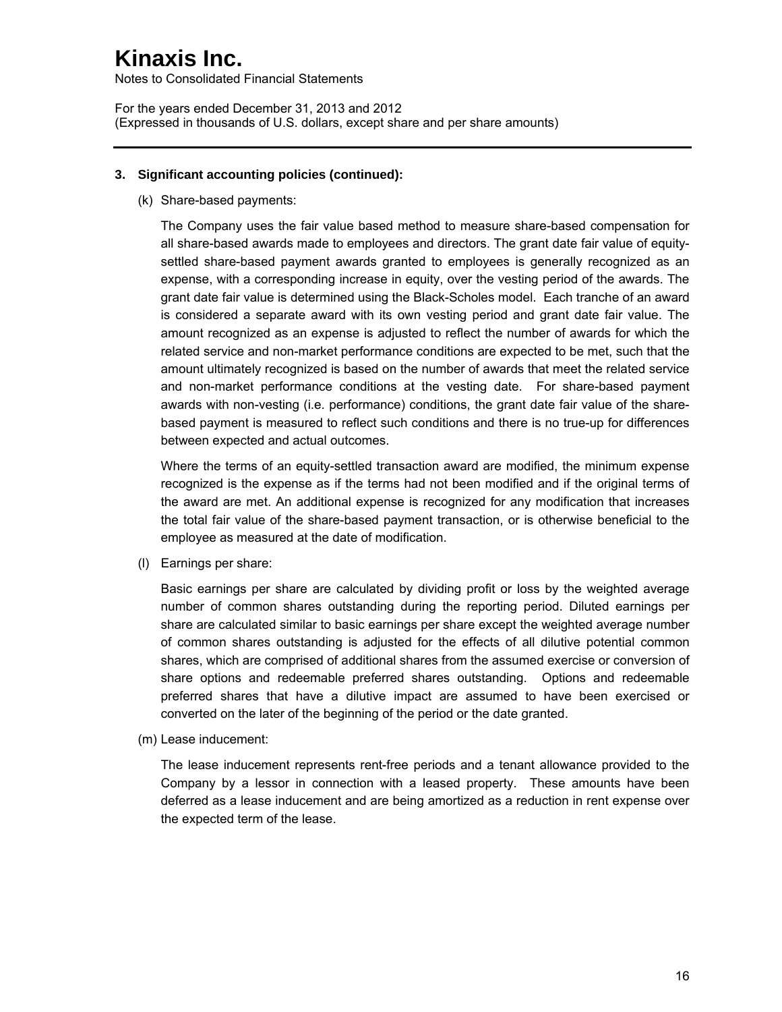Notes to Consolidated Financial Statements

For the years ended December 31, 2013 and 2012 (Expressed in thousands of U.S. dollars, except share and per share amounts)

### **3. Significant accounting policies (continued):**

(k) Share-based payments:

The Company uses the fair value based method to measure share-based compensation for all share-based awards made to employees and directors. The grant date fair value of equitysettled share-based payment awards granted to employees is generally recognized as an expense, with a corresponding increase in equity, over the vesting period of the awards. The grant date fair value is determined using the Black-Scholes model. Each tranche of an award is considered a separate award with its own vesting period and grant date fair value. The amount recognized as an expense is adjusted to reflect the number of awards for which the related service and non-market performance conditions are expected to be met, such that the amount ultimately recognized is based on the number of awards that meet the related service and non-market performance conditions at the vesting date. For share-based payment awards with non-vesting (i.e. performance) conditions, the grant date fair value of the sharebased payment is measured to reflect such conditions and there is no true-up for differences between expected and actual outcomes.

Where the terms of an equity-settled transaction award are modified, the minimum expense recognized is the expense as if the terms had not been modified and if the original terms of the award are met. An additional expense is recognized for any modification that increases the total fair value of the share-based payment transaction, or is otherwise beneficial to the employee as measured at the date of modification.

(l) Earnings per share:

Basic earnings per share are calculated by dividing profit or loss by the weighted average number of common shares outstanding during the reporting period. Diluted earnings per share are calculated similar to basic earnings per share except the weighted average number of common shares outstanding is adjusted for the effects of all dilutive potential common shares, which are comprised of additional shares from the assumed exercise or conversion of share options and redeemable preferred shares outstanding. Options and redeemable preferred shares that have a dilutive impact are assumed to have been exercised or converted on the later of the beginning of the period or the date granted.

(m) Lease inducement:

The lease inducement represents rent-free periods and a tenant allowance provided to the Company by a lessor in connection with a leased property. These amounts have been deferred as a lease inducement and are being amortized as a reduction in rent expense over the expected term of the lease.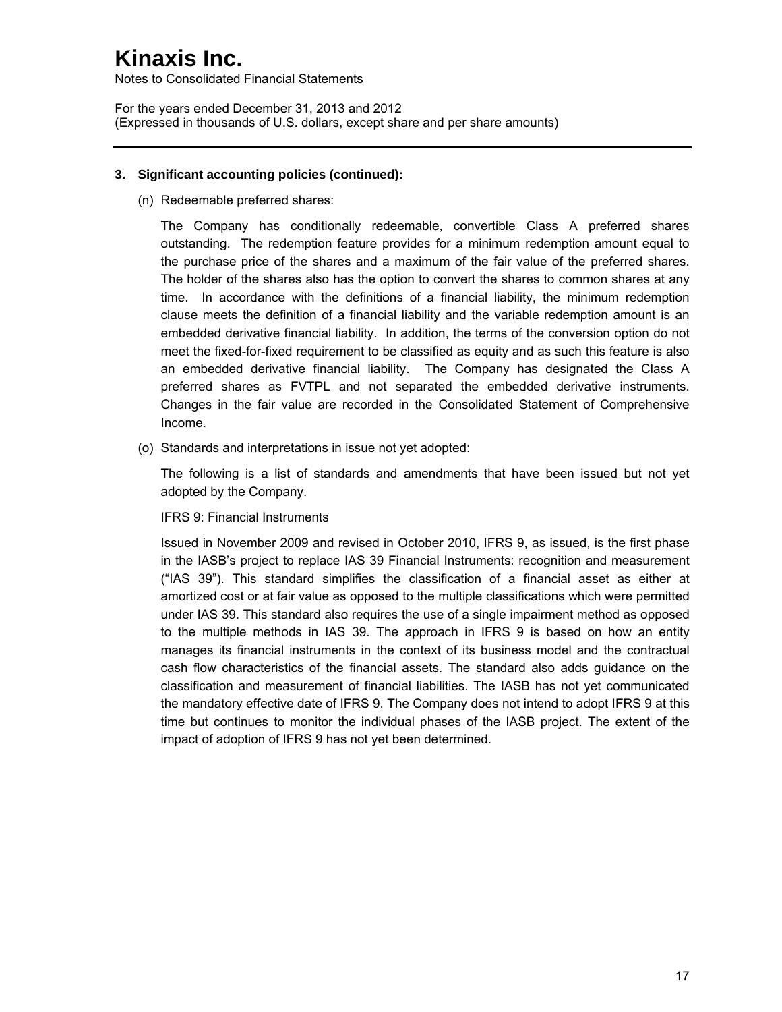Notes to Consolidated Financial Statements

For the years ended December 31, 2013 and 2012 (Expressed in thousands of U.S. dollars, except share and per share amounts)

### **3. Significant accounting policies (continued):**

(n) Redeemable preferred shares:

The Company has conditionally redeemable, convertible Class A preferred shares outstanding. The redemption feature provides for a minimum redemption amount equal to the purchase price of the shares and a maximum of the fair value of the preferred shares. The holder of the shares also has the option to convert the shares to common shares at any time. In accordance with the definitions of a financial liability, the minimum redemption clause meets the definition of a financial liability and the variable redemption amount is an embedded derivative financial liability. In addition, the terms of the conversion option do not meet the fixed-for-fixed requirement to be classified as equity and as such this feature is also an embedded derivative financial liability. The Company has designated the Class A preferred shares as FVTPL and not separated the embedded derivative instruments. Changes in the fair value are recorded in the Consolidated Statement of Comprehensive Income.

(o) Standards and interpretations in issue not yet adopted:

The following is a list of standards and amendments that have been issued but not yet adopted by the Company.

IFRS 9: Financial Instruments

Issued in November 2009 and revised in October 2010, IFRS 9, as issued, is the first phase in the IASB's project to replace IAS 39 Financial Instruments: recognition and measurement ("IAS 39"). This standard simplifies the classification of a financial asset as either at amortized cost or at fair value as opposed to the multiple classifications which were permitted under IAS 39. This standard also requires the use of a single impairment method as opposed to the multiple methods in IAS 39. The approach in IFRS 9 is based on how an entity manages its financial instruments in the context of its business model and the contractual cash flow characteristics of the financial assets. The standard also adds guidance on the classification and measurement of financial liabilities. The IASB has not yet communicated the mandatory effective date of IFRS 9. The Company does not intend to adopt IFRS 9 at this time but continues to monitor the individual phases of the IASB project. The extent of the impact of adoption of IFRS 9 has not yet been determined.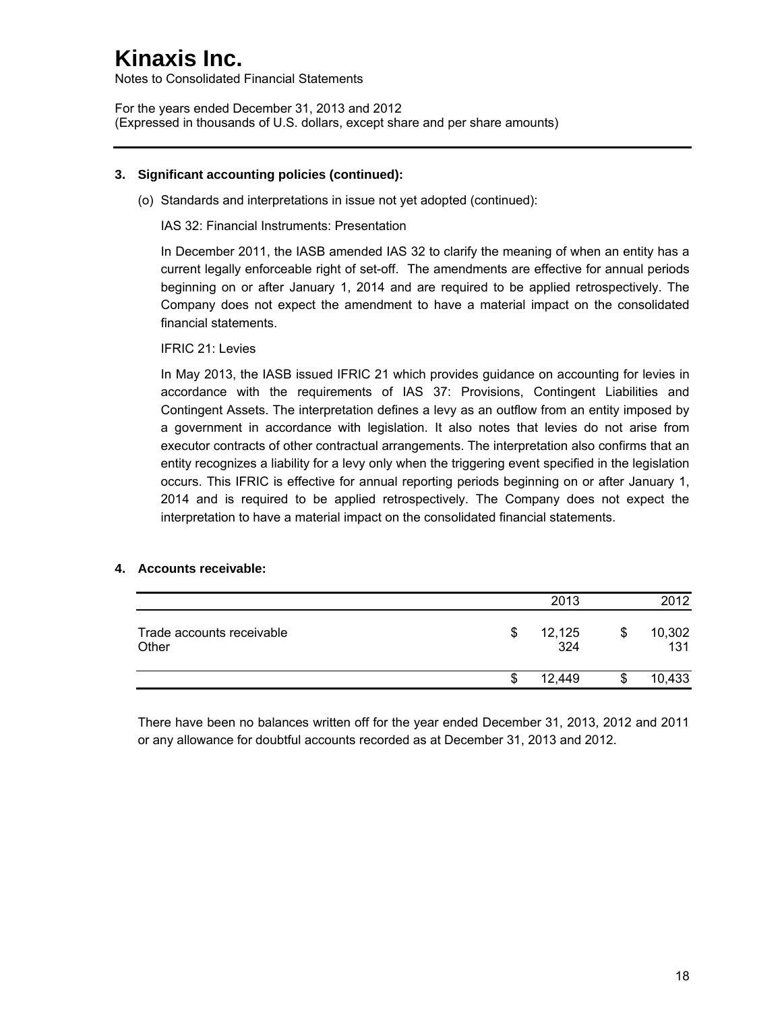Notes to Consolidated Financial Statements

For the years ended December 31, 2013 and 2012 (Expressed in thousands of U.S. dollars, except share and per share amounts)

### **3. Significant accounting policies (continued):**

(o) Standards and interpretations in issue not yet adopted (continued):

IAS 32: Financial Instruments: Presentation

In December 2011, the IASB amended IAS 32 to clarify the meaning of when an entity has a current legally enforceable right of set-off. The amendments are effective for annual periods beginning on or after January 1, 2014 and are required to be applied retrospectively. The Company does not expect the amendment to have a material impact on the consolidated financial statements.

IFRIC 21: Levies

In May 2013, the IASB issued IFRIC 21 which provides guidance on accounting for levies in accordance with the requirements of IAS 37: Provisions, Contingent Liabilities and Contingent Assets. The interpretation defines a levy as an outflow from an entity imposed by a government in accordance with legislation. It also notes that levies do not arise from executor contracts of other contractual arrangements. The interpretation also confirms that an entity recognizes a liability for a levy only when the triggering event specified in the legislation occurs. This IFRIC is effective for annual reporting periods beginning on or after January 1, 2014 and is required to be applied retrospectively. The Company does not expect the interpretation to have a material impact on the consolidated financial statements.

### **4. Accounts receivable:**

|                                    |   | 2013          | 2012                |
|------------------------------------|---|---------------|---------------------|
| Trade accounts receivable<br>Other | S | 12,125<br>324 | \$<br>10,302<br>131 |
|                                    | S | 12,449        | 10,433              |

There have been no balances written off for the year ended December 31, 2013, 2012 and 2011 or any allowance for doubtful accounts recorded as at December 31, 2013 and 2012.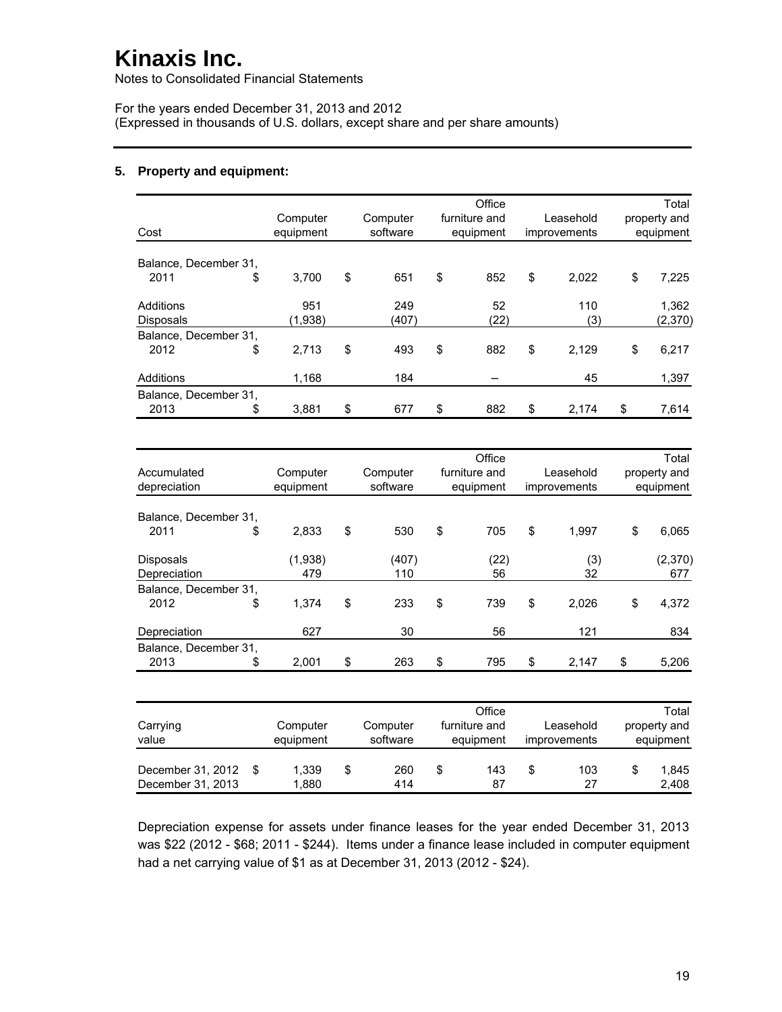Notes to Consolidated Financial Statements

For the years ended December 31, 2013 and 2012 (Expressed in thousands of U.S. dollars, except share and per share amounts)

#### **5. Property and equipment:**

| Cost                  | Computer<br>equipment | Office<br>furniture and<br>Leasehold<br>Computer<br>software<br>equipment<br>improvements |       |           |    |       |    | Total<br>property and<br>equipment |
|-----------------------|-----------------------|-------------------------------------------------------------------------------------------|-------|-----------|----|-------|----|------------------------------------|
| Balance, December 31, |                       |                                                                                           |       |           |    |       |    |                                    |
| 2011                  | \$<br>3.700           | \$                                                                                        | 651   | \$<br>852 | \$ | 2.022 | \$ | 7.225                              |
| Additions             | 951                   |                                                                                           | 249   | 52        |    | 110   |    | 1,362                              |
| <b>Disposals</b>      | (1,938)               |                                                                                           | (407) | (22)      |    | (3)   |    | (2,370)                            |
| Balance, December 31, |                       |                                                                                           |       |           |    |       |    |                                    |
| 2012                  | \$<br>2,713           | \$                                                                                        | 493   | \$<br>882 | \$ | 2,129 | \$ | 6,217                              |
| Additions             | 1,168                 |                                                                                           | 184   |           |    | 45    |    | 1,397                              |
| Balance, December 31, |                       |                                                                                           |       |           |    |       |    |                                    |
| 2013                  | \$<br>3,881           | \$                                                                                        | 677   | \$<br>882 | \$ | 2,174 | \$ | 7,614                              |

| Accumulated<br>depreciation | Computer<br>equipment | Computer<br>software | Office<br>furniture and<br>equipment | Leasehold<br>improvements |           | Total<br>property and<br>equipment |                |
|-----------------------------|-----------------------|----------------------|--------------------------------------|---------------------------|-----------|------------------------------------|----------------|
|                             |                       |                      |                                      |                           |           |                                    |                |
| Balance, December 31,       |                       |                      |                                      |                           |           |                                    |                |
| 2011<br>\$                  | 2.833                 | \$<br>530            | \$<br>705                            | \$                        | 1.997     | \$                                 | 6.065          |
| Disposals<br>Depreciation   | (1,938)<br>479        | (407)<br>110         | (22)<br>56                           |                           | (3)<br>32 |                                    | (2,370)<br>677 |
| Balance, December 31,       |                       |                      |                                      |                           |           |                                    |                |
| \$<br>2012                  | 1.374                 | \$<br>233            | \$<br>739                            | \$                        | 2.026     | \$                                 | 4,372          |
| Depreciation                | 627                   | 30                   | 56                                   |                           | 121       |                                    | 834            |
| Balance, December 31,       |                       |                      |                                      |                           |           |                                    |                |
| 2013<br>\$                  | 2,001                 | \$<br>263            | \$<br>795                            | \$                        | 2.147     | \$                                 | 5,206          |

| Carrying<br>value                      |  | Computer<br>equipment | Computer<br>software |   | Office<br>furniture and<br>equipment | Leasehold<br>improvements | Total<br>property and<br>equipment |
|----------------------------------------|--|-----------------------|----------------------|---|--------------------------------------|---------------------------|------------------------------------|
| December 31, 2012<br>December 31, 2013 |  | 1.339<br>1.880        | \$<br>260<br>414     | S | 143<br>87                            | \$<br>103<br>27           | 1.845<br>2.408                     |

Depreciation expense for assets under finance leases for the year ended December 31, 2013 was \$22 (2012 - \$68; 2011 - \$244). Items under a finance lease included in computer equipment had a net carrying value of \$1 as at December 31, 2013 (2012 - \$24).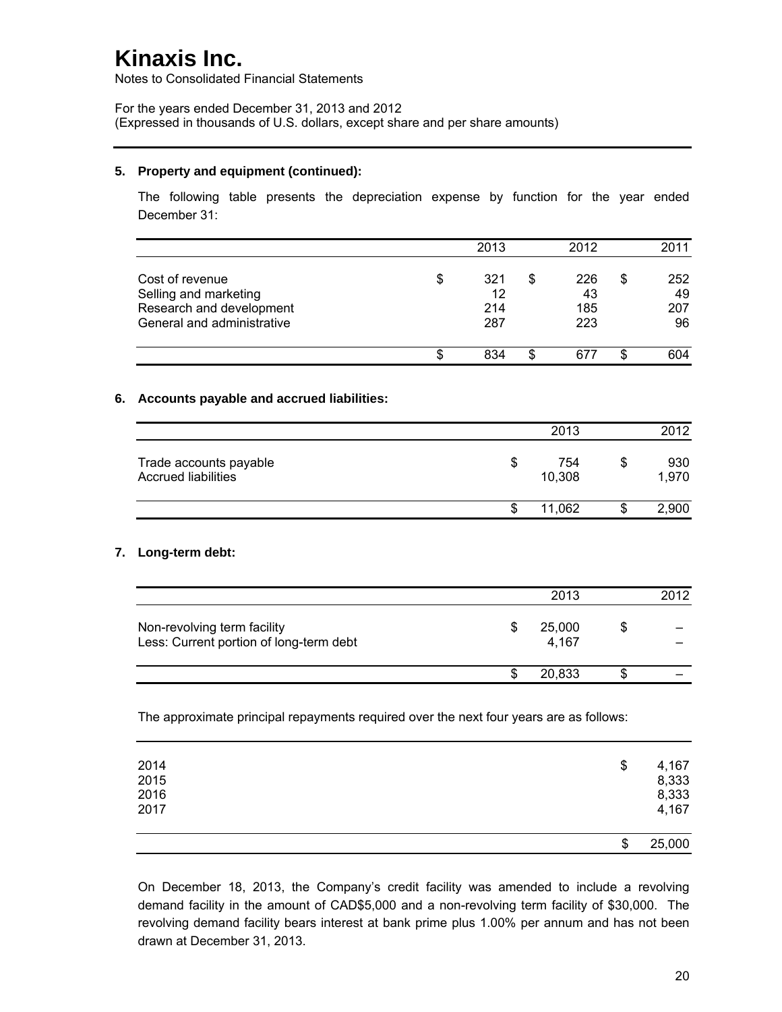Notes to Consolidated Financial Statements

For the years ended December 31, 2013 and 2012 (Expressed in thousands of U.S. dollars, except share and per share amounts)

#### **5. Property and equipment (continued):**

The following table presents the depreciation expense by function for the year ended December 31:

|                            |        | 2013 |    | 2012 |   | 2011 |
|----------------------------|--------|------|----|------|---|------|
| Cost of revenue            | \$     | 321  | \$ | 226  | S | 252  |
| Selling and marketing      |        | 12   |    | 43   |   | 49   |
| Research and development   |        | 214  |    | 185  |   | 207  |
| General and administrative |        | 287  |    | 223  |   | 96   |
|                            | œ<br>æ | 834  | S  | 677  | S | 604  |

### **6. Accounts payable and accrued liabilities:**

|                                                      |   | 2013          | 2012               |
|------------------------------------------------------|---|---------------|--------------------|
| Trade accounts payable<br><b>Accrued liabilities</b> | S | 754<br>10,308 | \$<br>930<br>1,970 |
|                                                      |   | 11.062        | 2,900              |

### **7. Long-term debt:**

|                                                                        | 2013            | 2012 |
|------------------------------------------------------------------------|-----------------|------|
| Non-revolving term facility<br>Less: Current portion of long-term debt | 25,000<br>4,167 |      |
|                                                                        | 20,833          |      |

The approximate principal repayments required over the next four years are as follows:

| 2014<br>2015<br>2016<br>2017 | \$<br>4,167<br>8,333<br>8,333<br>4,167 |
|------------------------------|----------------------------------------|
|                              | \$<br>25,000                           |

On December 18, 2013, the Company's credit facility was amended to include a revolving demand facility in the amount of CAD\$5,000 and a non-revolving term facility of \$30,000. The revolving demand facility bears interest at bank prime plus 1.00% per annum and has not been drawn at December 31, 2013.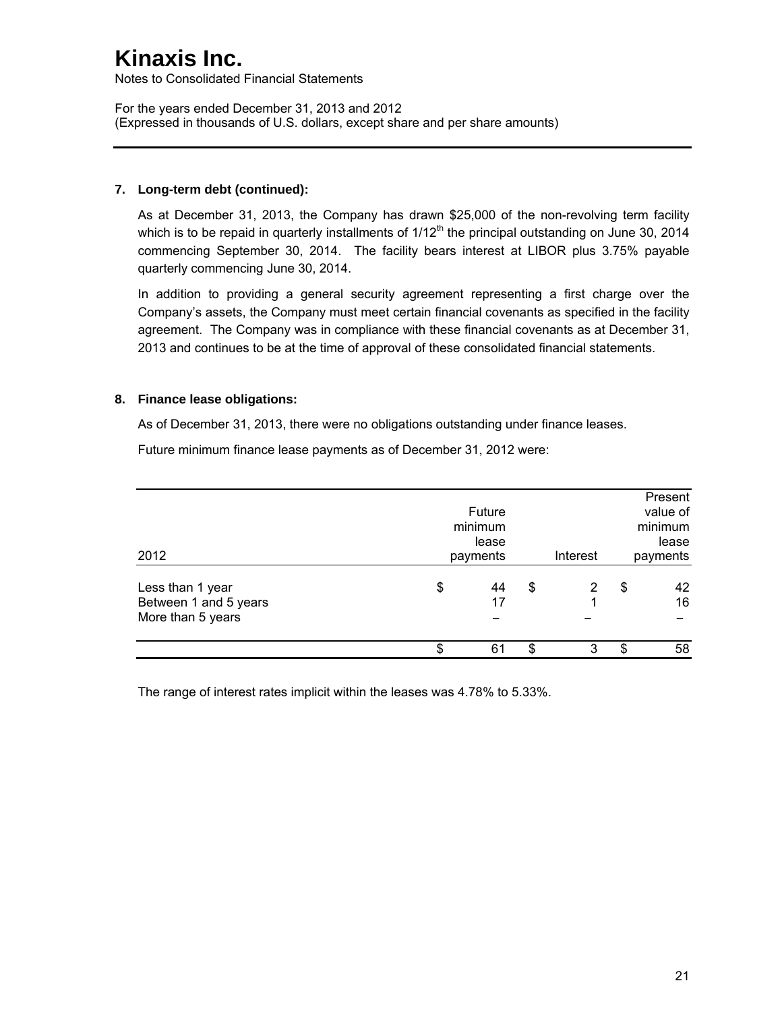Notes to Consolidated Financial Statements

For the years ended December 31, 2013 and 2012 (Expressed in thousands of U.S. dollars, except share and per share amounts)

## **7. Long-term debt (continued):**

As at December 31, 2013, the Company has drawn \$25,000 of the non-revolving term facility which is to be repaid in quarterly installments of  $1/12<sup>th</sup>$  the principal outstanding on June 30, 2014 commencing September 30, 2014. The facility bears interest at LIBOR plus 3.75% payable quarterly commencing June 30, 2014.

In addition to providing a general security agreement representing a first charge over the Company's assets, the Company must meet certain financial covenants as specified in the facility agreement. The Company was in compliance with these financial covenants as at December 31, 2013 and continues to be at the time of approval of these consolidated financial statements.

## **8. Finance lease obligations:**

As of December 31, 2013, there were no obligations outstanding under finance leases.

Future minimum finance lease payments as of December 31, 2012 were:

| 2012                                                           |          | Future<br>minimum<br>lease<br>payments |          | Interest |          | Present<br>value of<br>minimum<br>lease<br>payments |
|----------------------------------------------------------------|----------|----------------------------------------|----------|----------|----------|-----------------------------------------------------|
| Less than 1 year<br>Between 1 and 5 years<br>More than 5 years | \$<br>\$ | 44<br>17<br>61                         | \$<br>\$ | 3        | \$<br>\$ | 42<br>16<br>58                                      |

The range of interest rates implicit within the leases was 4.78% to 5.33%.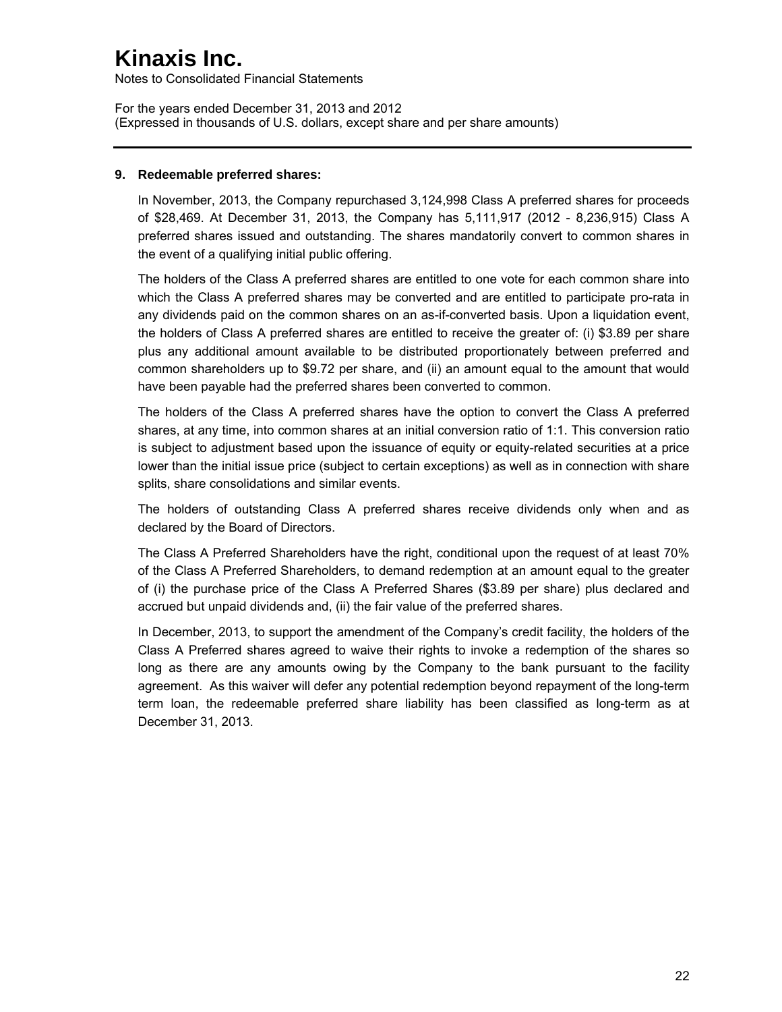Notes to Consolidated Financial Statements

For the years ended December 31, 2013 and 2012 (Expressed in thousands of U.S. dollars, except share and per share amounts)

### **9. Redeemable preferred shares:**

In November, 2013, the Company repurchased 3,124,998 Class A preferred shares for proceeds of \$28,469. At December 31, 2013, the Company has 5,111,917 (2012 - 8,236,915) Class A preferred shares issued and outstanding. The shares mandatorily convert to common shares in the event of a qualifying initial public offering.

The holders of the Class A preferred shares are entitled to one vote for each common share into which the Class A preferred shares may be converted and are entitled to participate pro-rata in any dividends paid on the common shares on an as-if-converted basis. Upon a liquidation event, the holders of Class A preferred shares are entitled to receive the greater of: (i) \$3.89 per share plus any additional amount available to be distributed proportionately between preferred and common shareholders up to \$9.72 per share, and (ii) an amount equal to the amount that would have been payable had the preferred shares been converted to common.

The holders of the Class A preferred shares have the option to convert the Class A preferred shares, at any time, into common shares at an initial conversion ratio of 1:1. This conversion ratio is subject to adjustment based upon the issuance of equity or equity-related securities at a price lower than the initial issue price (subject to certain exceptions) as well as in connection with share splits, share consolidations and similar events.

The holders of outstanding Class A preferred shares receive dividends only when and as declared by the Board of Directors.

The Class A Preferred Shareholders have the right, conditional upon the request of at least 70% of the Class A Preferred Shareholders, to demand redemption at an amount equal to the greater of (i) the purchase price of the Class A Preferred Shares (\$3.89 per share) plus declared and accrued but unpaid dividends and, (ii) the fair value of the preferred shares.

In December, 2013, to support the amendment of the Company's credit facility, the holders of the Class A Preferred shares agreed to waive their rights to invoke a redemption of the shares so long as there are any amounts owing by the Company to the bank pursuant to the facility agreement. As this waiver will defer any potential redemption beyond repayment of the long-term term loan, the redeemable preferred share liability has been classified as long-term as at December 31, 2013.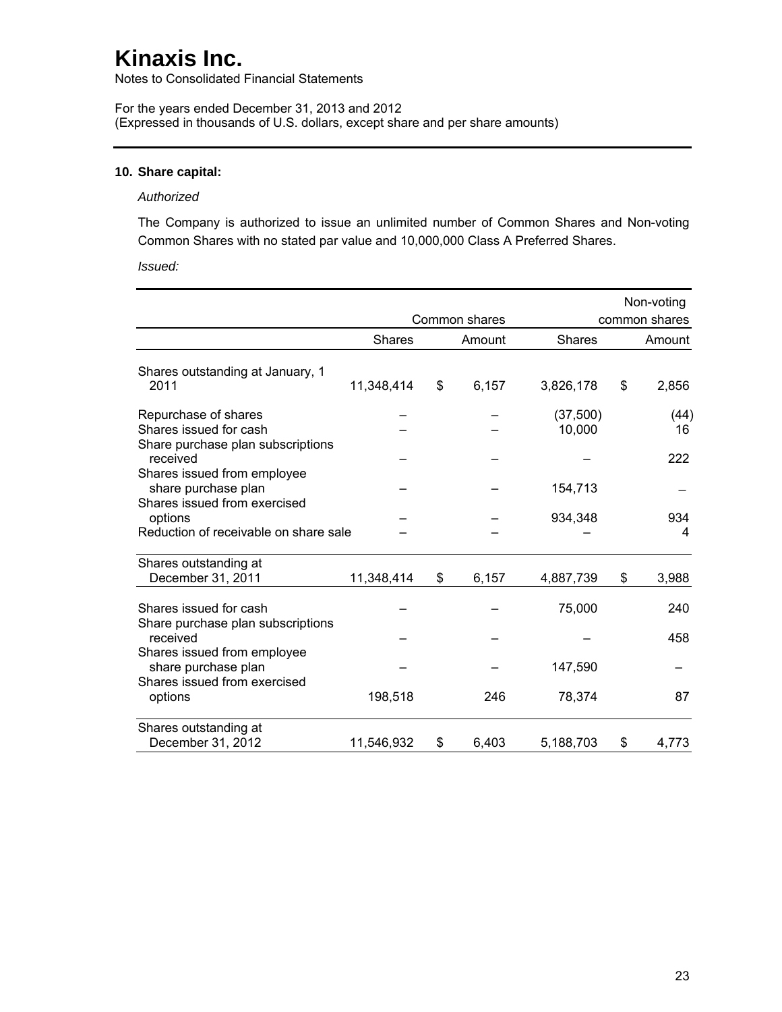Notes to Consolidated Financial Statements

For the years ended December 31, 2013 and 2012 (Expressed in thousands of U.S. dollars, except share and per share amounts)

#### **10. Share capital:**

#### *Authorized*

The Company is authorized to issue an unlimited number of Common Shares and Non-voting Common Shares with no stated par value and 10,000,000 Class A Preferred Shares.

*Issued:* 

|                                                                                     |               |               |                     | Non-voting    |
|-------------------------------------------------------------------------------------|---------------|---------------|---------------------|---------------|
|                                                                                     |               | Common shares |                     | common shares |
|                                                                                     | <b>Shares</b> | Amount        | <b>Shares</b>       | Amount        |
| Shares outstanding at January, 1<br>2011                                            | 11,348,414    | \$<br>6,157   | 3,826,178           | \$<br>2,856   |
| Repurchase of shares<br>Shares issued for cash<br>Share purchase plan subscriptions |               |               | (37, 500)<br>10,000 | (44)<br>16    |
| received<br>Shares issued from employee<br>share purchase plan                      |               |               | 154,713             | 222           |
| Shares issued from exercised<br>options<br>Reduction of receivable on share sale    |               |               | 934,348             | 934<br>4      |
| Shares outstanding at<br>December 31, 2011                                          | 11,348,414    | \$<br>6,157   | 4,887,739           | \$<br>3,988   |
| Shares issued for cash<br>Share purchase plan subscriptions                         |               |               | 75,000              | 240           |
| received<br>Shares issued from employee                                             |               |               |                     | 458           |
| share purchase plan<br>Shares issued from exercised                                 |               |               | 147,590             |               |
| options                                                                             | 198,518       | 246           | 78,374              | 87            |
| Shares outstanding at<br>December 31, 2012                                          | 11,546,932    | \$<br>6,403   | 5,188,703           | \$<br>4,773   |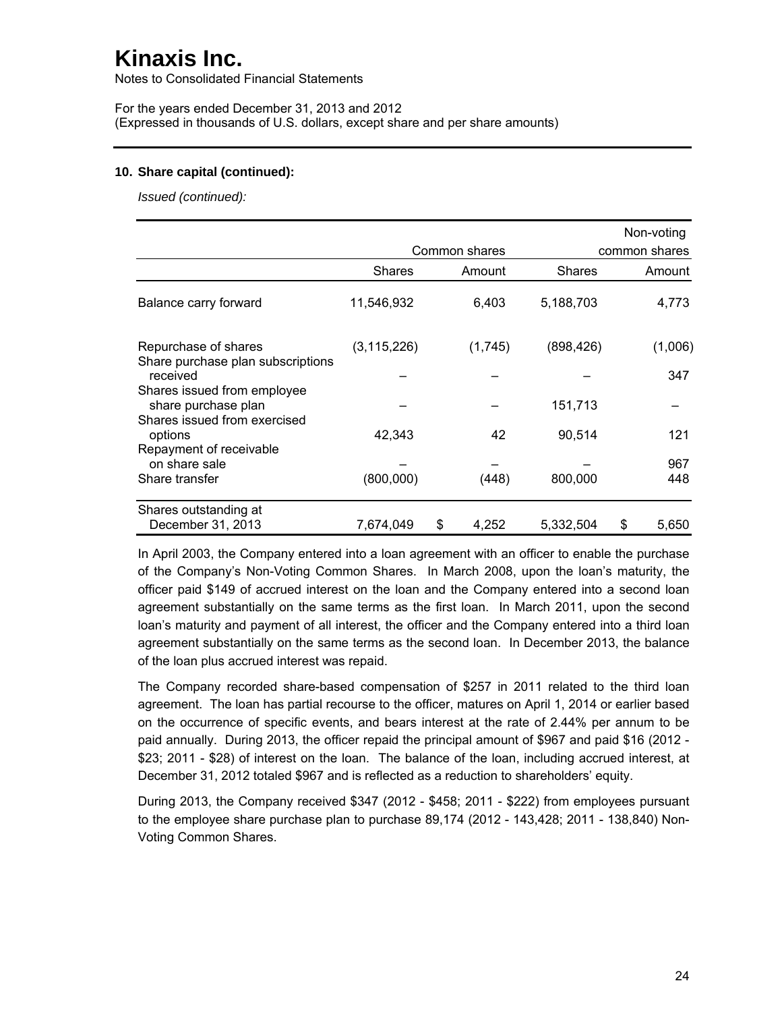Notes to Consolidated Financial Statements

For the years ended December 31, 2013 and 2012 (Expressed in thousands of U.S. dollars, except share and per share amounts)

#### **10. Share capital (continued):**

*Issued (continued):* 

|                                                           |               |               |               |   | Non-voting    |
|-----------------------------------------------------------|---------------|---------------|---------------|---|---------------|
|                                                           |               | Common shares |               |   | common shares |
|                                                           | Shares        | Amount        | <b>Shares</b> |   | Amount        |
| Balance carry forward                                     | 11,546,932    | 6,403         | 5,188,703     |   | 4,773         |
| Repurchase of shares<br>Share purchase plan subscriptions | (3, 115, 226) | (1,745)       | (898, 426)    |   | (1,006)       |
| received                                                  |               |               |               |   | 347           |
| Shares issued from employee<br>share purchase plan        |               |               | 151,713       |   |               |
| Shares issued from exercised<br>options                   | 42.343        | 42            | 90,514        |   | 121           |
| Repayment of receivable<br>on share sale                  |               |               |               |   | 967           |
| Share transfer                                            | (800,000)     | (448)         | 800,000       |   | 448           |
| Shares outstanding at                                     |               |               |               |   |               |
| December 31, 2013                                         | 7,674,049     | \$<br>4,252   | 5,332,504     | S | 5,650         |

In April 2003, the Company entered into a loan agreement with an officer to enable the purchase of the Company's Non-Voting Common Shares. In March 2008, upon the loan's maturity, the officer paid \$149 of accrued interest on the loan and the Company entered into a second loan agreement substantially on the same terms as the first loan. In March 2011, upon the second loan's maturity and payment of all interest, the officer and the Company entered into a third loan agreement substantially on the same terms as the second loan. In December 2013, the balance of the loan plus accrued interest was repaid.

The Company recorded share-based compensation of \$257 in 2011 related to the third loan agreement. The loan has partial recourse to the officer, matures on April 1, 2014 or earlier based on the occurrence of specific events, and bears interest at the rate of 2.44% per annum to be paid annually. During 2013, the officer repaid the principal amount of \$967 and paid \$16 (2012 - \$23; 2011 - \$28) of interest on the loan. The balance of the loan, including accrued interest, at December 31, 2012 totaled \$967 and is reflected as a reduction to shareholders' equity.

During 2013, the Company received \$347 (2012 - \$458; 2011 - \$222) from employees pursuant to the employee share purchase plan to purchase 89,174 (2012 - 143,428; 2011 - 138,840) Non-Voting Common Shares.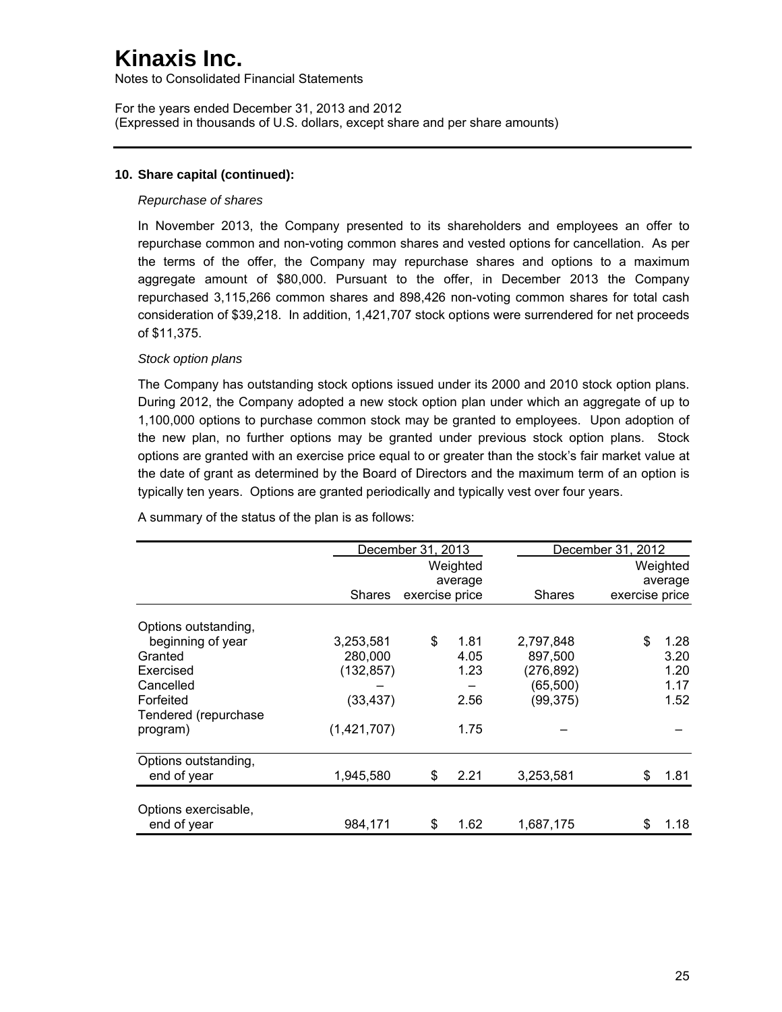Notes to Consolidated Financial Statements

For the years ended December 31, 2013 and 2012 (Expressed in thousands of U.S. dollars, except share and per share amounts)

### **10. Share capital (continued):**

#### *Repurchase of shares*

In November 2013, the Company presented to its shareholders and employees an offer to repurchase common and non-voting common shares and vested options for cancellation. As per the terms of the offer, the Company may repurchase shares and options to a maximum aggregate amount of \$80,000. Pursuant to the offer, in December 2013 the Company repurchased 3,115,266 common shares and 898,426 non-voting common shares for total cash consideration of \$39,218. In addition, 1,421,707 stock options were surrendered for net proceeds of \$11,375.

### *Stock option plans*

The Company has outstanding stock options issued under its 2000 and 2010 stock option plans. During 2012, the Company adopted a new stock option plan under which an aggregate of up to 1,100,000 options to purchase common stock may be granted to employees. Upon adoption of the new plan, no further options may be granted under previous stock option plans. Stock options are granted with an exercise price equal to or greater than the stock's fair market value at the date of grant as determined by the Board of Directors and the maximum term of an option is typically ten years. Options are granted periodically and typically vest over four years.

|                      |               | December 31, 2013<br>December 31, 2012 |          |            |                |          |
|----------------------|---------------|----------------------------------------|----------|------------|----------------|----------|
|                      |               |                                        | Weighted |            |                | Weighted |
|                      |               |                                        | average  |            |                | average  |
|                      | <b>Shares</b> | exercise price                         |          | Shares     | exercise price |          |
| Options outstanding, |               |                                        |          |            |                |          |
| beginning of year    | 3,253,581     | \$                                     | 1.81     | 2,797,848  | \$             | 1.28     |
| Granted              | 280,000       |                                        | 4.05     | 897,500    |                | 3.20     |
| Exercised            | (132,857)     |                                        | 1.23     | (276, 892) |                | 1.20     |
| Cancelled            |               |                                        |          | (65, 500)  |                | 1.17     |
| Forfeited            | (33,437)      |                                        | 2.56     | (99, 375)  |                | 1.52     |
| Tendered (repurchase |               |                                        |          |            |                |          |
| program)             | (1,421,707)   |                                        | 1.75     |            |                |          |
| Options outstanding, |               |                                        |          |            |                |          |
| end of year          | 1,945,580     | \$                                     | 2.21     | 3,253,581  | \$             | 1.81     |
| Options exercisable, |               |                                        |          |            |                |          |
| end of year          | 984.171       | \$                                     | 1.62     | 1,687,175  | \$             | 1.18     |

A summary of the status of the plan is as follows: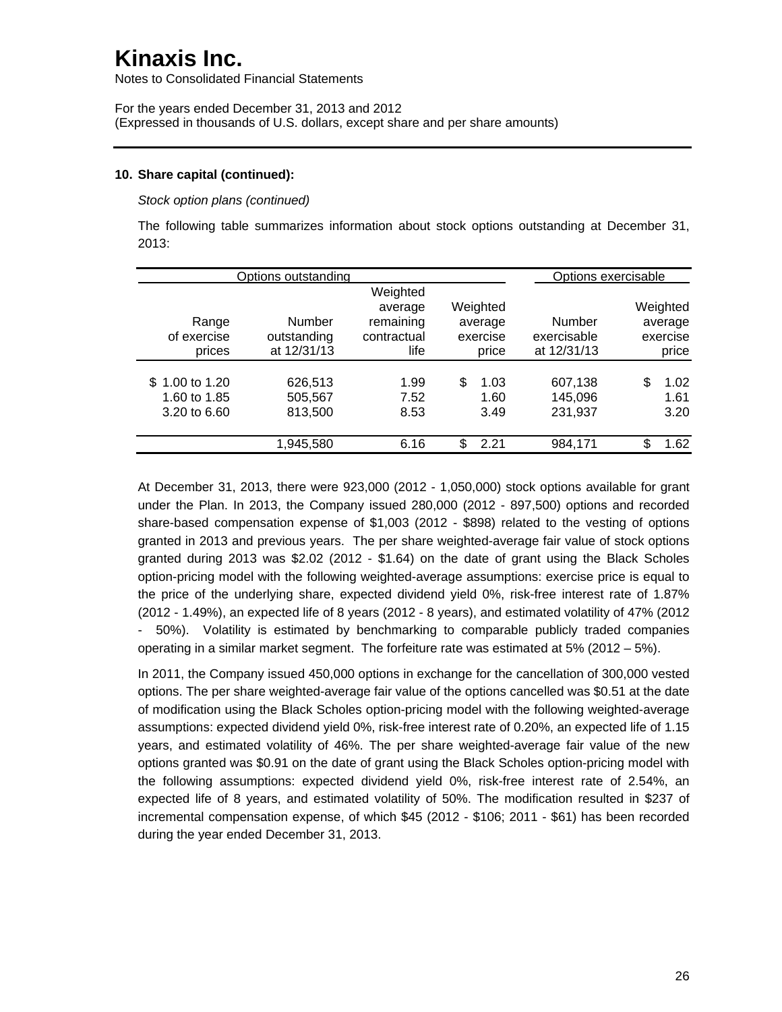Notes to Consolidated Financial Statements

For the years ended December 31, 2013 and 2012 (Expressed in thousands of U.S. dollars, except share and per share amounts)

#### **10. Share capital (continued):**

*Stock option plans (continued)* 

The following table summarizes information about stock options outstanding at December 31, 2013:

|                                                | Options outstanding                  |                                                         |                                          |                                      | Options exercisable                      |
|------------------------------------------------|--------------------------------------|---------------------------------------------------------|------------------------------------------|--------------------------------------|------------------------------------------|
| Range<br>of exercise<br>prices                 | Number<br>outstanding<br>at 12/31/13 | Weighted<br>average<br>remaining<br>contractual<br>life | Weighted<br>average<br>exercise<br>price | Number<br>exercisable<br>at 12/31/13 | Weighted<br>average<br>exercise<br>price |
| \$1.00 to 1.20<br>1.60 to 1.85<br>3.20 to 6.60 | 626,513<br>505,567<br>813,500        | 1.99<br>7.52<br>8.53                                    | \$<br>1.03<br>1.60<br>3.49               | 607,138<br>145,096<br>231,937        | \$.<br>1.02<br>1.61<br>3.20              |
|                                                | 1,945,580                            | 6.16                                                    | \$<br>2.21                               | 984,171                              | S.<br>1.62                               |

At December 31, 2013, there were 923,000 (2012 - 1,050,000) stock options available for grant under the Plan. In 2013, the Company issued 280,000 (2012 - 897,500) options and recorded share-based compensation expense of \$1,003 (2012 - \$898) related to the vesting of options granted in 2013 and previous years. The per share weighted-average fair value of stock options granted during 2013 was \$2.02 (2012 - \$1.64) on the date of grant using the Black Scholes option-pricing model with the following weighted-average assumptions: exercise price is equal to the price of the underlying share, expected dividend yield 0%, risk-free interest rate of 1.87% (2012 - 1.49%), an expected life of 8 years (2012 - 8 years), and estimated volatility of 47% (2012 - 50%). Volatility is estimated by benchmarking to comparable publicly traded companies operating in a similar market segment. The forfeiture rate was estimated at 5% (2012 – 5%).

In 2011, the Company issued 450,000 options in exchange for the cancellation of 300,000 vested options. The per share weighted-average fair value of the options cancelled was \$0.51 at the date of modification using the Black Scholes option-pricing model with the following weighted-average assumptions: expected dividend yield 0%, risk-free interest rate of 0.20%, an expected life of 1.15 years, and estimated volatility of 46%. The per share weighted-average fair value of the new options granted was \$0.91 on the date of grant using the Black Scholes option-pricing model with the following assumptions: expected dividend yield 0%, risk-free interest rate of 2.54%, an expected life of 8 years, and estimated volatility of 50%. The modification resulted in \$237 of incremental compensation expense, of which \$45 (2012 - \$106; 2011 - \$61) has been recorded during the year ended December 31, 2013.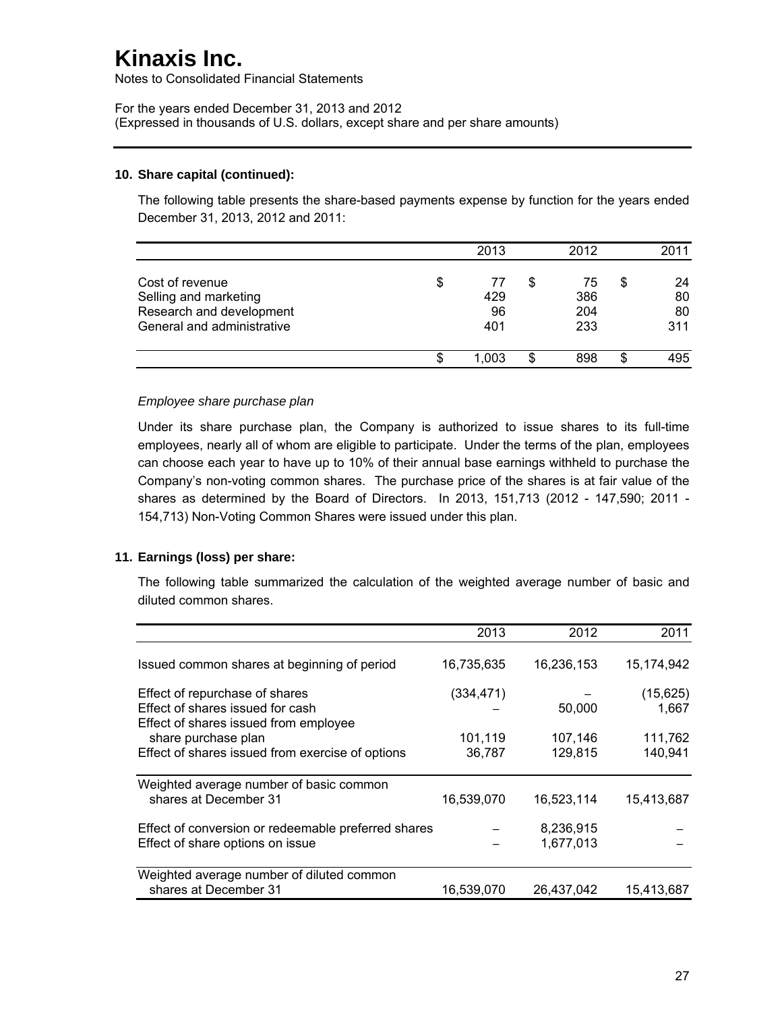Notes to Consolidated Financial Statements

For the years ended December 31, 2013 and 2012 (Expressed in thousands of U.S. dollars, except share and per share amounts)

#### **10. Share capital (continued):**

The following table presents the share-based payments expense by function for the years ended December 31, 2013, 2012 and 2011:

|                                                                                                    | 2013                         |   | 2012                    |    | 2011                  |
|----------------------------------------------------------------------------------------------------|------------------------------|---|-------------------------|----|-----------------------|
| Cost of revenue<br>Selling and marketing<br>Research and development<br>General and administrative | \$<br>77<br>429<br>96<br>401 |   | 75<br>386<br>204<br>233 | \$ | 24<br>80<br>80<br>311 |
|                                                                                                    | 1.003                        | S | 898                     | S  | 495                   |

#### *Employee share purchase plan*

Under its share purchase plan, the Company is authorized to issue shares to its full-time employees, nearly all of whom are eligible to participate. Under the terms of the plan, employees can choose each year to have up to 10% of their annual base earnings withheld to purchase the Company's non-voting common shares. The purchase price of the shares is at fair value of the shares as determined by the Board of Directors. In 2013, 151,713 (2012 - 147,590; 2011 - 154,713) Non-Voting Common Shares were issued under this plan.

### **11. Earnings (loss) per share:**

The following table summarized the calculation of the weighted average number of basic and diluted common shares.

|                                                     | 2013       | 2012       | 2011       |
|-----------------------------------------------------|------------|------------|------------|
| Issued common shares at beginning of period         | 16,735,635 | 16,236,153 | 15,174,942 |
| Effect of repurchase of shares                      | (334, 471) |            | (15, 625)  |
| Effect of shares issued for cash                    |            | 50,000     | 1,667      |
| Effect of shares issued from employee               |            |            |            |
| share purchase plan                                 | 101,119    | 107,146    | 111,762    |
| Effect of shares issued from exercise of options    | 36,787     | 129,815    | 140,941    |
| Weighted average number of basic common             |            |            |            |
| shares at December 31                               | 16,539,070 | 16,523,114 | 15,413,687 |
| Effect of conversion or redeemable preferred shares |            | 8,236,915  |            |
| Effect of share options on issue                    |            | 1,677,013  |            |
| Weighted average number of diluted common           |            |            |            |
| shares at December 31                               | 16,539,070 | 26,437,042 | 15,413,687 |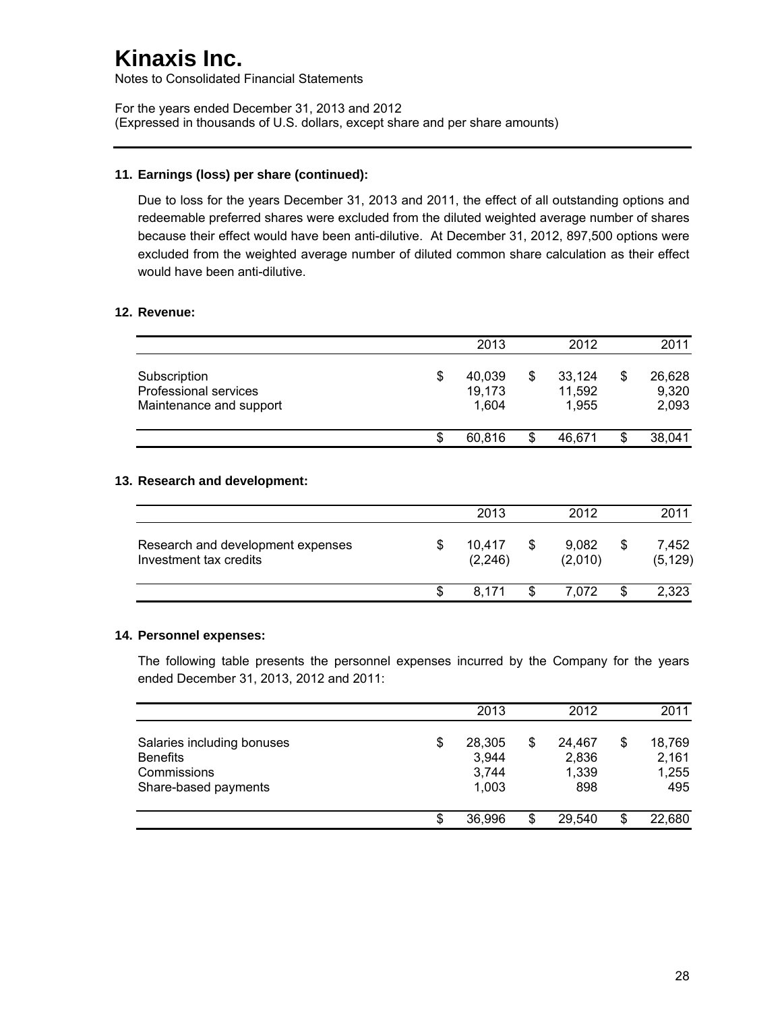Notes to Consolidated Financial Statements

For the years ended December 31, 2013 and 2012 (Expressed in thousands of U.S. dollars, except share and per share amounts)

### **11. Earnings (loss) per share (continued):**

Due to loss for the years December 31, 2013 and 2011, the effect of all outstanding options and redeemable preferred shares were excluded from the diluted weighted average number of shares because their effect would have been anti-dilutive. At December 31, 2012, 897,500 options were excluded from the weighted average number of diluted common share calculation as their effect would have been anti-dilutive.

### **12. Revenue:**

|                                                                  | 2013                            | 2012                      |    | 2011                     |
|------------------------------------------------------------------|---------------------------------|---------------------------|----|--------------------------|
| Subscription<br>Professional services<br>Maintenance and support | \$<br>40,039<br>19,173<br>1.604 | 33.124<br>11,592<br>1.955 | \$ | 26,628<br>9,320<br>2,093 |
|                                                                  | \$<br>60.816                    | 46.671                    | S  | 38,041                   |

### **13. Research and development:**

|                                                             |     | 2013              | 2012             | 2011              |
|-------------------------------------------------------------|-----|-------------------|------------------|-------------------|
| Research and development expenses<br>Investment tax credits | \$  | 10.417<br>(2.246) | 9,082<br>(2,010) | 7,452<br>(5, 129) |
|                                                             | \$. | 8 1 7 1           | \$<br>7.072      | 2,323             |

### **14. Personnel expenses:**

The following table presents the personnel expenses incurred by the Company for the years ended December 31, 2013, 2012 and 2011:

|                                                                                      |    | 2013                              |   | 2012                            | 2011                                  |
|--------------------------------------------------------------------------------------|----|-----------------------------------|---|---------------------------------|---------------------------------------|
| Salaries including bonuses<br><b>Benefits</b><br>Commissions<br>Share-based payments | \$ | 28,305<br>3,944<br>3,744<br>1,003 | S | 24.467<br>2,836<br>1,339<br>898 | \$<br>18,769<br>2,161<br>1,255<br>495 |
|                                                                                      | S  | 36,996                            |   | 29.540                          | \$<br>22,680                          |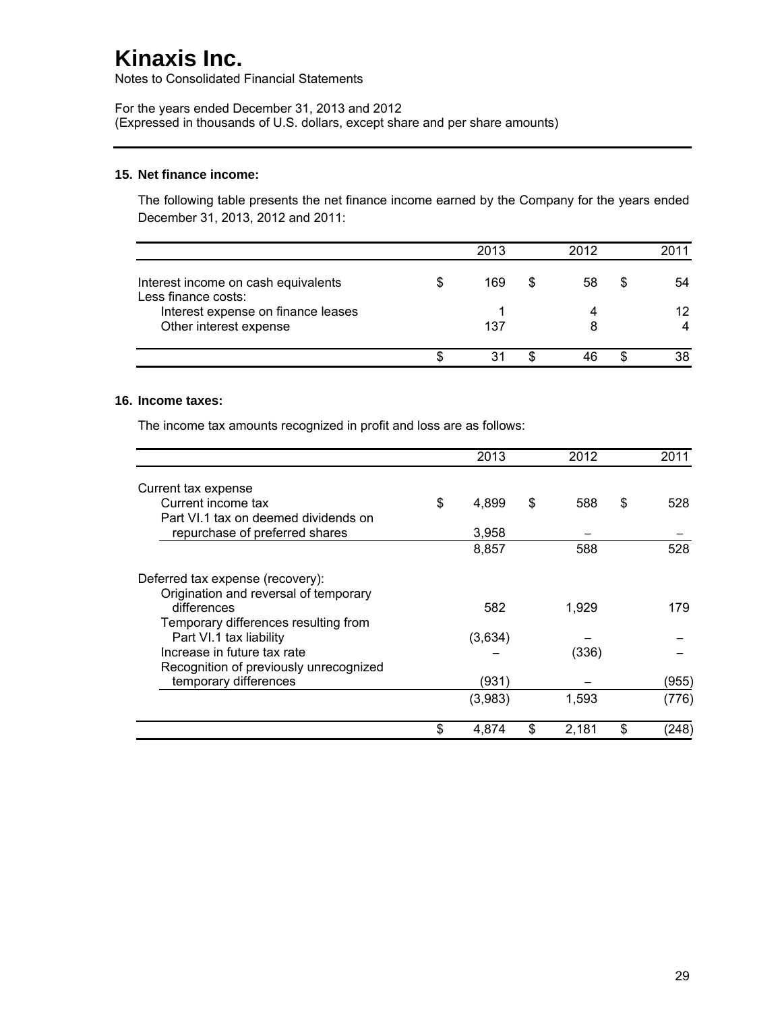Notes to Consolidated Financial Statements

For the years ended December 31, 2013 and 2012 (Expressed in thousands of U.S. dollars, except share and per share amounts)

#### **15. Net finance income:**

The following table presents the net finance income earned by the Company for the years ended December 31, 2013, 2012 and 2011:

|                                                              | 2013 |   | 2012 |   | 2011            |
|--------------------------------------------------------------|------|---|------|---|-----------------|
| Interest income on cash equivalents<br>Less finance costs:   | 169  | S | 58   | S | 54              |
| Interest expense on finance leases<br>Other interest expense | 137  |   |      |   | 12 <sup>2</sup> |
|                                                              | 31   |   |      |   | 38              |

## **16. Income taxes:**

The income tax amounts recognized in profit and loss are as follows:

|                                                                           | 2013        | 2012        | 2011        |
|---------------------------------------------------------------------------|-------------|-------------|-------------|
| Current tax expense                                                       |             |             |             |
| Current income tax                                                        | \$<br>4.899 | \$<br>588   | \$<br>528   |
| Part VI.1 tax on deemed dividends on                                      |             |             |             |
| repurchase of preferred shares                                            | 3,958       |             |             |
|                                                                           | 8,857       | 588         | 528         |
| Deferred tax expense (recovery):<br>Origination and reversal of temporary |             |             |             |
| differences<br>Temporary differences resulting from                       | 582         | 1.929       | 179         |
| Part VI.1 tax liability                                                   | (3,634)     |             |             |
| Increase in future tax rate<br>Recognition of previously unrecognized     |             | (336)       |             |
| temporary differences                                                     | (931)       |             | (955)       |
|                                                                           | (3,983)     | 1,593       | (776)       |
|                                                                           | \$<br>4,874 | \$<br>2,181 | \$<br>(248) |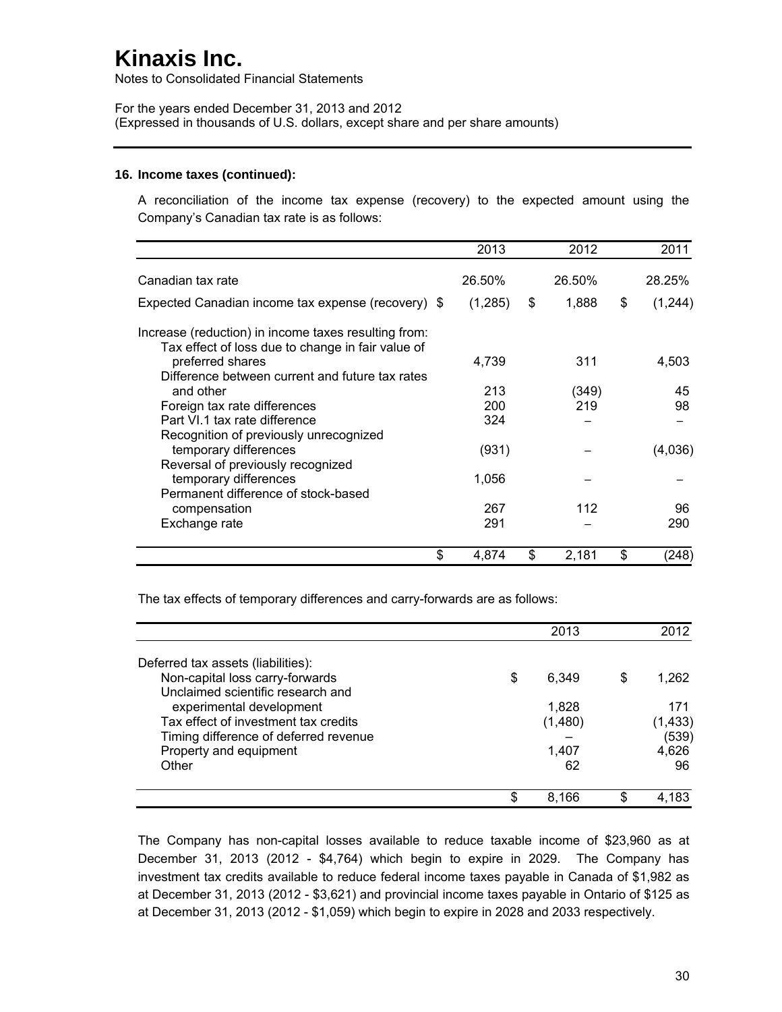Notes to Consolidated Financial Statements

For the years ended December 31, 2013 and 2012 (Expressed in thousands of U.S. dollars, except share and per share amounts)

#### **16. Income taxes (continued):**

A reconciliation of the income tax expense (recovery) to the expected amount using the Company's Canadian tax rate is as follows:

|                                                                                                           | 2013       | 2012         | 2011          |
|-----------------------------------------------------------------------------------------------------------|------------|--------------|---------------|
| Canadian tax rate                                                                                         | 26.50%     | 26.50%       | 28.25%        |
| Expected Canadian income tax expense (recovery) \$                                                        | (1,285)    | \$<br>1,888  | \$<br>(1,244) |
| Increase (reduction) in income taxes resulting from:<br>Tax effect of loss due to change in fair value of |            |              |               |
| preferred shares                                                                                          | 4,739      | 311          | 4,503         |
| Difference between current and future tax rates<br>and other<br>Foreign tax rate differences              | 213<br>200 | (349)<br>219 | 45<br>98      |
| Part VI.1 tax rate difference<br>Recognition of previously unrecognized                                   | 324        |              |               |
| temporary differences<br>Reversal of previously recognized                                                | (931)      |              | (4,036)       |
| temporary differences                                                                                     | 1,056      |              |               |
| Permanent difference of stock-based<br>compensation                                                       | 267        | 112          | 96            |
| Exchange rate                                                                                             | 291        |              | 290           |
| \$                                                                                                        | 4,874      | \$<br>2,181  | \$<br>(248)   |

The tax effects of temporary differences and carry-forwards are as follows:

|                                                                      | 2013        |   | 2012     |
|----------------------------------------------------------------------|-------------|---|----------|
| Deferred tax assets (liabilities):                                   |             |   |          |
| Non-capital loss carry-forwards<br>Unclaimed scientific research and | \$<br>6.349 | S | 1,262    |
| experimental development                                             | 1,828       |   | 171      |
| Tax effect of investment tax credits                                 | (1,480)     |   | (1, 433) |
| Timing difference of deferred revenue                                |             |   | (539)    |
| Property and equipment                                               | 1,407       |   | 4,626    |
| Other                                                                | 62          |   | 96       |
|                                                                      | \$<br>8.166 |   | 4.183    |

The Company has non-capital losses available to reduce taxable income of \$23,960 as at December 31, 2013 (2012 - \$4,764) which begin to expire in 2029. The Company has investment tax credits available to reduce federal income taxes payable in Canada of \$1,982 as at December 31, 2013 (2012 - \$3,621) and provincial income taxes payable in Ontario of \$125 as at December 31, 2013 (2012 - \$1,059) which begin to expire in 2028 and 2033 respectively.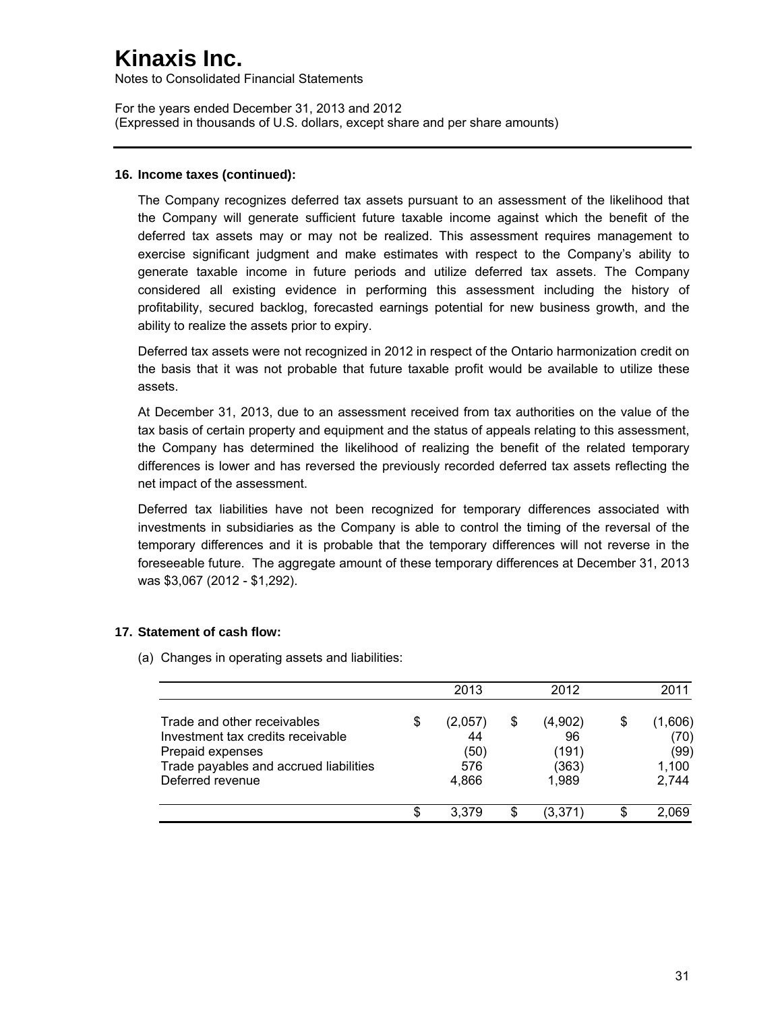Notes to Consolidated Financial Statements

For the years ended December 31, 2013 and 2012 (Expressed in thousands of U.S. dollars, except share and per share amounts)

### **16. Income taxes (continued):**

The Company recognizes deferred tax assets pursuant to an assessment of the likelihood that the Company will generate sufficient future taxable income against which the benefit of the deferred tax assets may or may not be realized. This assessment requires management to exercise significant judgment and make estimates with respect to the Company's ability to generate taxable income in future periods and utilize deferred tax assets. The Company considered all existing evidence in performing this assessment including the history of profitability, secured backlog, forecasted earnings potential for new business growth, and the ability to realize the assets prior to expiry.

Deferred tax assets were not recognized in 2012 in respect of the Ontario harmonization credit on the basis that it was not probable that future taxable profit would be available to utilize these assets.

At December 31, 2013, due to an assessment received from tax authorities on the value of the tax basis of certain property and equipment and the status of appeals relating to this assessment, the Company has determined the likelihood of realizing the benefit of the related temporary differences is lower and has reversed the previously recorded deferred tax assets reflecting the net impact of the assessment.

Deferred tax liabilities have not been recognized for temporary differences associated with investments in subsidiaries as the Company is able to control the timing of the reversal of the temporary differences and it is probable that the temporary differences will not reverse in the foreseeable future. The aggregate amount of these temporary differences at December 31, 2013 was \$3,067 (2012 - \$1,292).

### **17. Statement of cash flow:**

(a) Changes in operating assets and liabilities:

|                                                                                                                                                    | 2013                                        | 2012                                           | 2011                                            |
|----------------------------------------------------------------------------------------------------------------------------------------------------|---------------------------------------------|------------------------------------------------|-------------------------------------------------|
| Trade and other receivables<br>Investment tax credits receivable<br>Prepaid expenses<br>Trade payables and accrued liabilities<br>Deferred revenue | \$<br>(2,057)<br>44<br>(50)<br>576<br>4.866 | \$<br>(4,902)<br>96<br>(191)<br>(363)<br>1,989 | \$<br>(1,606)<br>(70)<br>(99)<br>1,100<br>2,744 |
|                                                                                                                                                    | \$<br>3.379                                 | (3,371)                                        | 2,069                                           |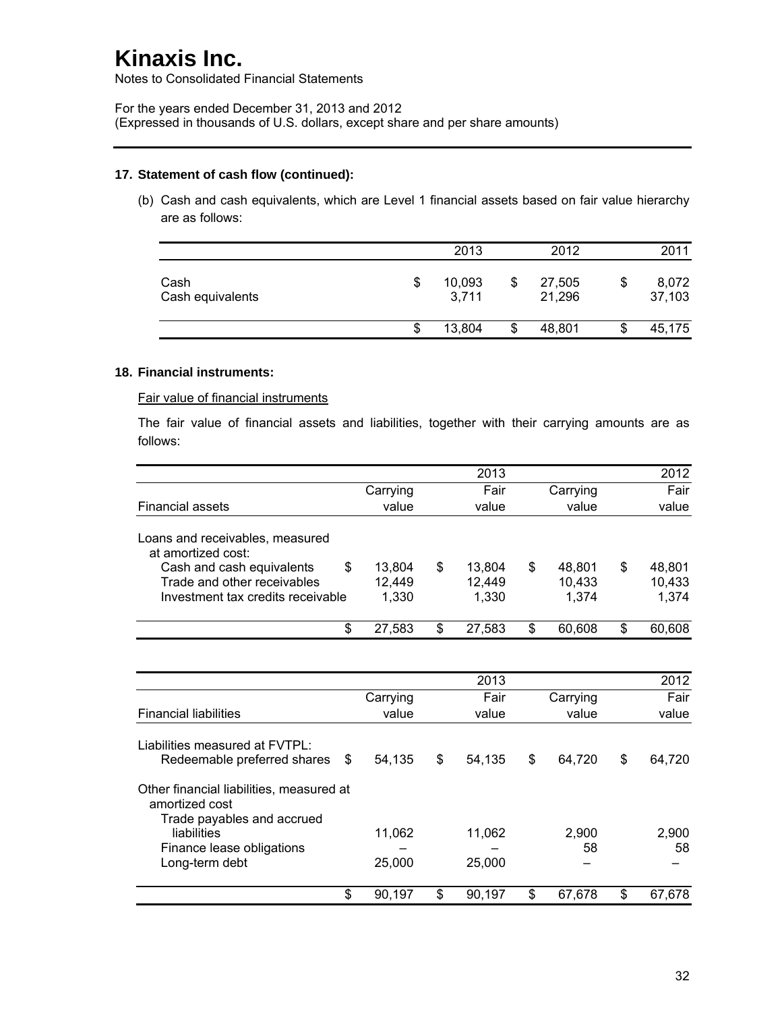Notes to Consolidated Financial Statements

For the years ended December 31, 2013 and 2012 (Expressed in thousands of U.S. dollars, except share and per share amounts)

### **17. Statement of cash flow (continued):**

(b) Cash and cash equivalents, which are Level 1 financial assets based on fair value hierarchy are as follows:

|                          | 2013                  |    | 2012             |    | 2011            |
|--------------------------|-----------------------|----|------------------|----|-----------------|
| Cash<br>Cash equivalents | \$<br>10,093<br>3,711 | S  | 27,505<br>21,296 | \$ | 8,072<br>37,103 |
|                          | \$<br>13,804          | \$ | 48,801           | æ  | 45,175          |

### **18. Financial instruments:**

Fair value of financial instruments

The fair value of financial assets and liabilities, together with their carrying amounts are as follows:

|                                                                                                                         |                  | 2013                   |   |                  | 2012                   |
|-------------------------------------------------------------------------------------------------------------------------|------------------|------------------------|---|------------------|------------------------|
|                                                                                                                         | Carrying         | Fair                   |   | Carrying         | Fair                   |
| <b>Financial assets</b>                                                                                                 | value            | value                  |   | value            | value                  |
| Loans and receivables, measured<br>at amortized cost:<br>Cash and cash equivalents<br>\$<br>Trade and other receivables | 13.804<br>12,449 | \$<br>13.804<br>12,449 | S | 48.801<br>10,433 | \$<br>48.801<br>10,433 |
| Investment tax credits receivable                                                                                       | 1.330            | 1.330                  |   | 1.374            | 1,374                  |
| \$                                                                                                                      | 27,583           | \$<br>27,583           | S | 60,608           | \$<br>60,608           |

|                                                                                          |          | 2013         |    |          | 2012         |
|------------------------------------------------------------------------------------------|----------|--------------|----|----------|--------------|
|                                                                                          | Carrying | Fair         |    | Carrying | Fair         |
| <b>Financial liabilities</b>                                                             | value    | value        |    | value    | value        |
| Liabilities measured at FVTPL:                                                           |          |              |    |          |              |
| Redeemable preferred shares<br>-S                                                        | 54.135   | \$<br>54,135 | \$ | 64.720   | \$<br>64,720 |
| Other financial liabilities, measured at<br>amortized cost<br>Trade payables and accrued |          |              |    |          |              |
| liabilities                                                                              | 11,062   | 11,062       |    | 2,900    | 2,900        |
| Finance lease obligations                                                                |          |              |    | 58       | 58           |
| Long-term debt                                                                           | 25,000   | 25,000       |    |          |              |
| \$                                                                                       | 90,197   | \$<br>90.197 | S  | 67.678   | \$<br>67,678 |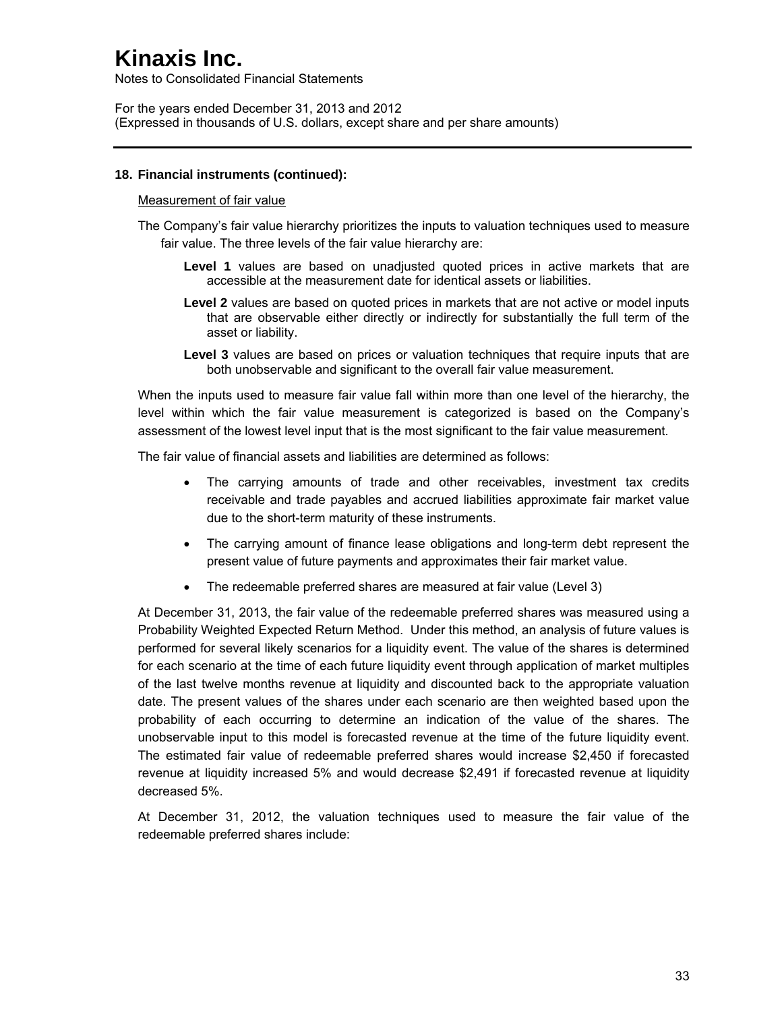Notes to Consolidated Financial Statements

For the years ended December 31, 2013 and 2012 (Expressed in thousands of U.S. dollars, except share and per share amounts)

### **18. Financial instruments (continued):**

#### Measurement of fair value

The Company's fair value hierarchy prioritizes the inputs to valuation techniques used to measure fair value. The three levels of the fair value hierarchy are:

- **Level 1** values are based on unadjusted quoted prices in active markets that are accessible at the measurement date for identical assets or liabilities.
- **Level 2** values are based on quoted prices in markets that are not active or model inputs that are observable either directly or indirectly for substantially the full term of the asset or liability.
- Level 3 values are based on prices or valuation techniques that require inputs that are both unobservable and significant to the overall fair value measurement.

When the inputs used to measure fair value fall within more than one level of the hierarchy, the level within which the fair value measurement is categorized is based on the Company's assessment of the lowest level input that is the most significant to the fair value measurement.

The fair value of financial assets and liabilities are determined as follows:

- The carrying amounts of trade and other receivables, investment tax credits receivable and trade payables and accrued liabilities approximate fair market value due to the short-term maturity of these instruments.
- The carrying amount of finance lease obligations and long-term debt represent the present value of future payments and approximates their fair market value.
- The redeemable preferred shares are measured at fair value (Level 3)

At December 31, 2013, the fair value of the redeemable preferred shares was measured using a Probability Weighted Expected Return Method. Under this method, an analysis of future values is performed for several likely scenarios for a liquidity event. The value of the shares is determined for each scenario at the time of each future liquidity event through application of market multiples of the last twelve months revenue at liquidity and discounted back to the appropriate valuation date. The present values of the shares under each scenario are then weighted based upon the probability of each occurring to determine an indication of the value of the shares. The unobservable input to this model is forecasted revenue at the time of the future liquidity event. The estimated fair value of redeemable preferred shares would increase \$2,450 if forecasted revenue at liquidity increased 5% and would decrease \$2,491 if forecasted revenue at liquidity decreased 5%.

At December 31, 2012, the valuation techniques used to measure the fair value of the redeemable preferred shares include: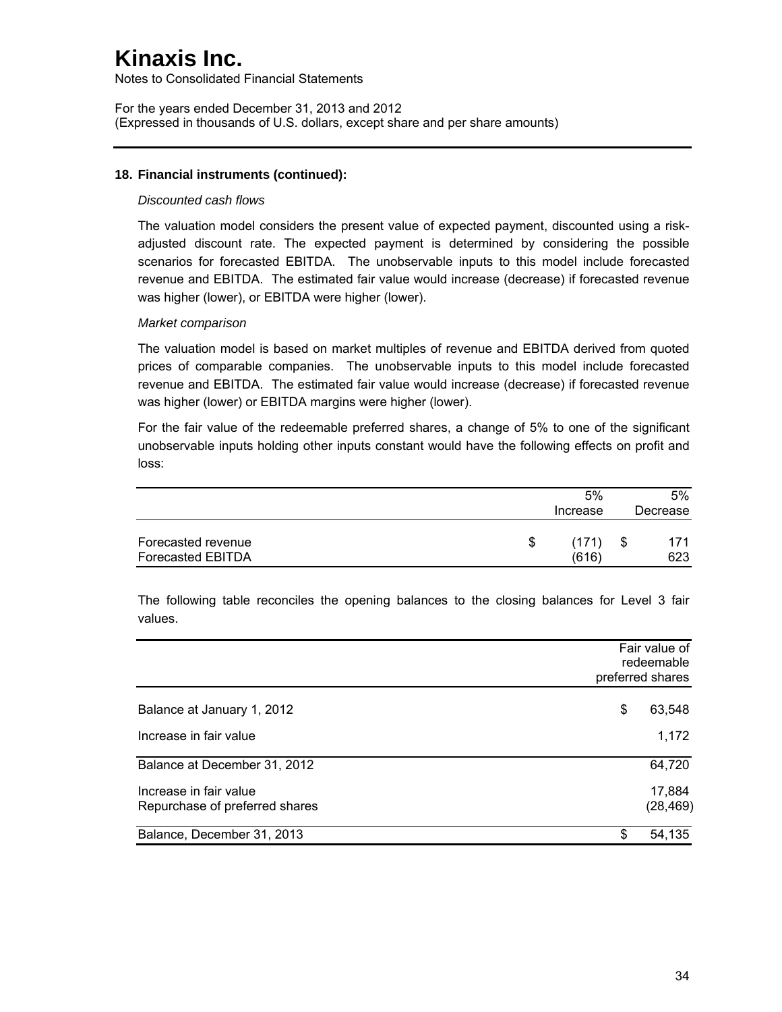Notes to Consolidated Financial Statements

For the years ended December 31, 2013 and 2012 (Expressed in thousands of U.S. dollars, except share and per share amounts)

### **18. Financial instruments (continued):**

#### *Discounted cash flows*

The valuation model considers the present value of expected payment, discounted using a riskadjusted discount rate. The expected payment is determined by considering the possible scenarios for forecasted EBITDA. The unobservable inputs to this model include forecasted revenue and EBITDA. The estimated fair value would increase (decrease) if forecasted revenue was higher (lower), or EBITDA were higher (lower).

#### *Market comparison*

The valuation model is based on market multiples of revenue and EBITDA derived from quoted prices of comparable companies. The unobservable inputs to this model include forecasted revenue and EBITDA. The estimated fair value would increase (decrease) if forecasted revenue was higher (lower) or EBITDA margins were higher (lower).

For the fair value of the redeemable preferred shares, a change of 5% to one of the significant unobservable inputs holding other inputs constant would have the following effects on profit and loss:

|                                                |   | 5%<br>Increase | $5\%$<br>Decrease |
|------------------------------------------------|---|----------------|-------------------|
| Forecasted revenue<br><b>Forecasted EBITDA</b> | S | (171)<br>(616) | \$<br>171<br>623  |

The following table reconciles the opening balances to the closing balances for Level 3 fair values.

|                                                          | Fair value of<br>redeemable<br>preferred shares |
|----------------------------------------------------------|-------------------------------------------------|
| Balance at January 1, 2012                               | 63,548<br>S                                     |
| Increase in fair value                                   | 1,172                                           |
| Balance at December 31, 2012                             | 64,720                                          |
| Increase in fair value<br>Repurchase of preferred shares | 17,884<br>(28, 469)                             |
| Balance, December 31, 2013                               | 54,135<br>\$                                    |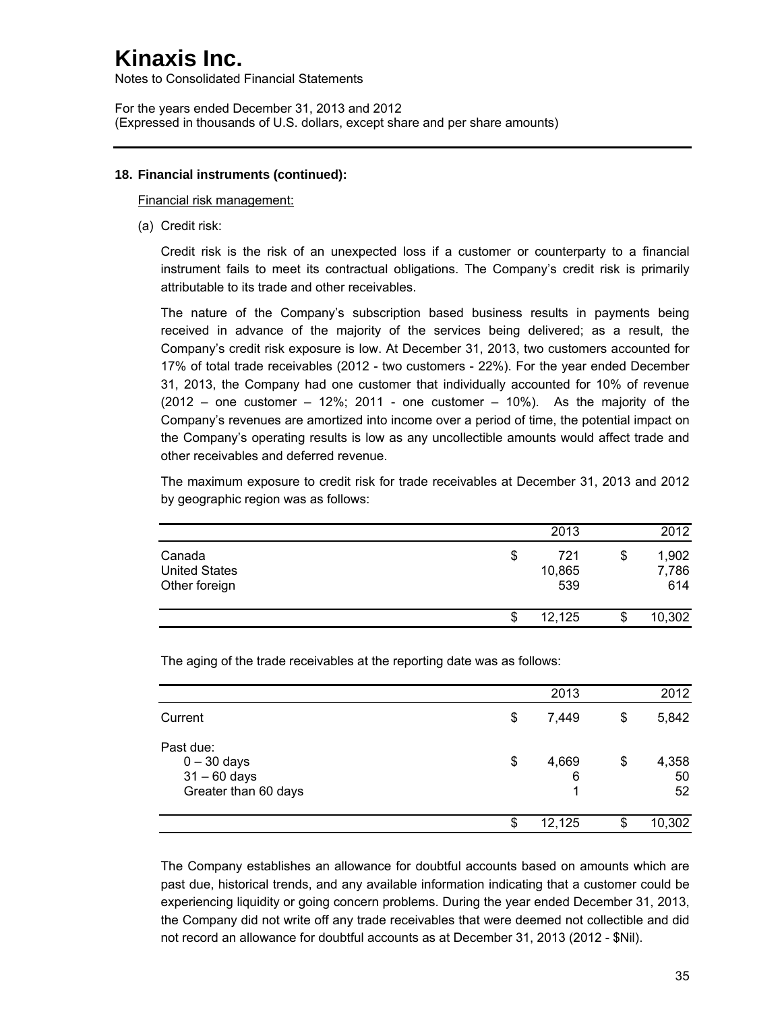Notes to Consolidated Financial Statements

For the years ended December 31, 2013 and 2012 (Expressed in thousands of U.S. dollars, except share and per share amounts)

## **18. Financial instruments (continued):**

Financial risk management:

(a) Credit risk:

Credit risk is the risk of an unexpected loss if a customer or counterparty to a financial instrument fails to meet its contractual obligations. The Company's credit risk is primarily attributable to its trade and other receivables.

The nature of the Company's subscription based business results in payments being received in advance of the majority of the services being delivered; as a result, the Company's credit risk exposure is low. At December 31, 2013, two customers accounted for 17% of total trade receivables (2012 - two customers - 22%). For the year ended December 31, 2013, the Company had one customer that individually accounted for 10% of revenue  $(2012 -$  one customer  $-12\%$ ; 2011 - one customer  $-10\%$ ). As the majority of the Company's revenues are amortized into income over a period of time, the potential impact on the Company's operating results is low as any uncollectible amounts would affect trade and other receivables and deferred revenue.

The maximum exposure to credit risk for trade receivables at December 31, 2013 and 2012 by geographic region was as follows:

|                                                 | 2013                       | 2012                        |
|-------------------------------------------------|----------------------------|-----------------------------|
| Canada<br><b>United States</b><br>Other foreign | \$<br>721<br>10,865<br>539 | \$<br>1,902<br>7,786<br>614 |
|                                                 | \$<br>12,125               | 10,302                      |

The aging of the trade receivables at the reporting date was as follows:

|                                                                      | \$<br>12,125          | S  | 10,302            |
|----------------------------------------------------------------------|-----------------------|----|-------------------|
| Past due:<br>$0 - 30$ days<br>$31 - 60$ days<br>Greater than 60 days | \$<br>4,669<br>6<br>1 | \$ | 4,358<br>50<br>52 |
| Current                                                              | \$<br>7,449           | \$ | 5,842             |
|                                                                      | 2013                  |    | 2012              |

The Company establishes an allowance for doubtful accounts based on amounts which are past due, historical trends, and any available information indicating that a customer could be experiencing liquidity or going concern problems. During the year ended December 31, 2013, the Company did not write off any trade receivables that were deemed not collectible and did not record an allowance for doubtful accounts as at December 31, 2013 (2012 - \$Nil).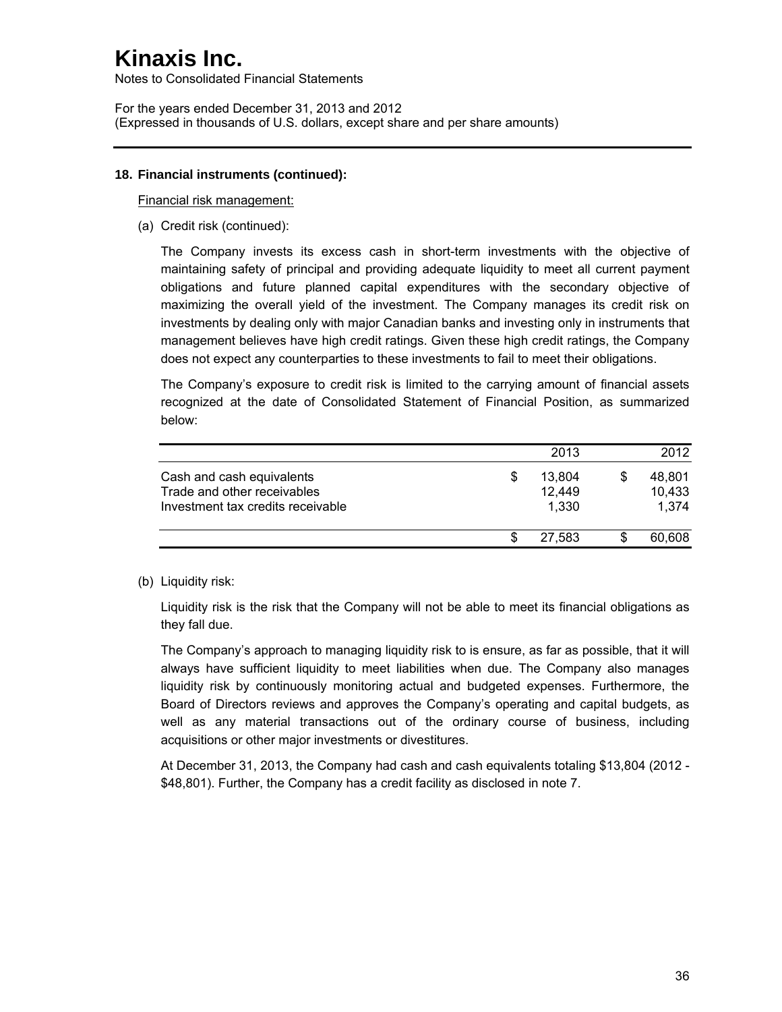Notes to Consolidated Financial Statements

For the years ended December 31, 2013 and 2012 (Expressed in thousands of U.S. dollars, except share and per share amounts)

### **18. Financial instruments (continued):**

Financial risk management:

(a) Credit risk (continued):

The Company invests its excess cash in short-term investments with the objective of maintaining safety of principal and providing adequate liquidity to meet all current payment obligations and future planned capital expenditures with the secondary objective of maximizing the overall yield of the investment. The Company manages its credit risk on investments by dealing only with major Canadian banks and investing only in instruments that management believes have high credit ratings. Given these high credit ratings, the Company does not expect any counterparties to these investments to fail to meet their obligations.

The Company's exposure to credit risk is limited to the carrying amount of financial assets recognized at the date of Consolidated Statement of Financial Position, as summarized below:

|                                                                                               |   | 2013                      | 2012                      |
|-----------------------------------------------------------------------------------------------|---|---------------------------|---------------------------|
| Cash and cash equivalents<br>Trade and other receivables<br>Investment tax credits receivable | S | 13.804<br>12,449<br>1,330 | 48.801<br>10,433<br>1.374 |
|                                                                                               |   | 27.583                    | 60.608                    |

## (b) Liquidity risk:

Liquidity risk is the risk that the Company will not be able to meet its financial obligations as they fall due.

The Company's approach to managing liquidity risk to is ensure, as far as possible, that it will always have sufficient liquidity to meet liabilities when due. The Company also manages liquidity risk by continuously monitoring actual and budgeted expenses. Furthermore, the Board of Directors reviews and approves the Company's operating and capital budgets, as well as any material transactions out of the ordinary course of business, including acquisitions or other major investments or divestitures.

At December 31, 2013, the Company had cash and cash equivalents totaling \$13,804 (2012 - \$48,801). Further, the Company has a credit facility as disclosed in note 7.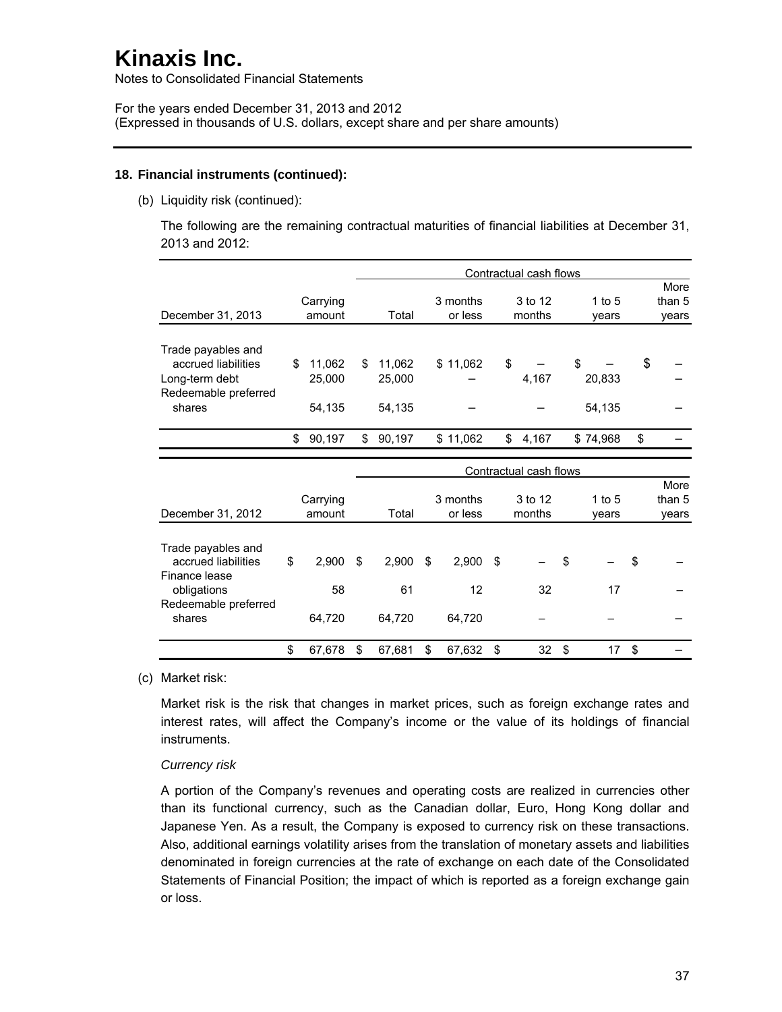Notes to Consolidated Financial Statements

For the years ended December 31, 2013 and 2012 (Expressed in thousands of U.S. dollars, except share and per share amounts)

### **18. Financial instruments (continued):**

(b) Liquidity risk (continued):

The following are the remaining contractual maturities of financial liabilities at December 31, 2013 and 2012:

|                                           |                    | Contractual cash flows |    |                     |    |                        |    |                   |    |                         |
|-------------------------------------------|--------------------|------------------------|----|---------------------|----|------------------------|----|-------------------|----|-------------------------|
| December 31, 2013                         | Carrying<br>amount | Total                  |    | 3 months<br>or less |    | 3 to 12<br>months      |    | $1$ to $5$        |    | More<br>than 5          |
|                                           |                    |                        |    |                     |    |                        |    | vears             |    | years                   |
| Trade payables and<br>accrued liabilities | \$<br>11,062       | \$<br>11,062           |    | \$11,062            | \$ |                        | \$ |                   | \$ |                         |
| Long-term debt<br>Redeemable preferred    | 25,000             | 25,000                 |    |                     |    | 4,167                  |    | 20,833            |    |                         |
| shares                                    | 54,135             | 54,135                 |    |                     |    |                        |    | 54,135            |    |                         |
|                                           | \$<br>90,197       | \$<br>90,197           |    | \$11,062            | \$ | 4,167                  |    | \$74,968          | \$ |                         |
|                                           |                    |                        |    |                     |    |                        |    |                   |    |                         |
|                                           |                    |                        |    |                     |    | Contractual cash flows |    |                   |    |                         |
| December 31, 2012                         | Carrying<br>amount | Total                  |    | 3 months<br>or less |    | 3 to 12<br>months      |    | 1 to $5$<br>years |    | More<br>than 5<br>years |
| Trade payables and                        |                    |                        |    |                     |    |                        |    |                   |    |                         |
| accrued liabilities<br>Finance lease      | \$<br>2,900        | \$<br>2,900            | \$ | 2,900               | \$ |                        | \$ |                   | \$ |                         |
| obligations                               | 58                 | 61                     |    | 12                  |    | 32                     |    | 17                |    |                         |
| Redeemable preferred<br>shares            | 64,720             | 64,720                 |    | 64,720              |    |                        |    |                   |    |                         |
|                                           | \$<br>67,678       | \$<br>67,681           | \$ | 67,632              | \$ | 32                     | \$ | 17                | \$ |                         |

(c) Market risk:

Market risk is the risk that changes in market prices, such as foreign exchange rates and interest rates, will affect the Company's income or the value of its holdings of financial instruments.

#### *Currency risk*

A portion of the Company's revenues and operating costs are realized in currencies other than its functional currency, such as the Canadian dollar, Euro, Hong Kong dollar and Japanese Yen. As a result, the Company is exposed to currency risk on these transactions. Also, additional earnings volatility arises from the translation of monetary assets and liabilities denominated in foreign currencies at the rate of exchange on each date of the Consolidated Statements of Financial Position; the impact of which is reported as a foreign exchange gain or loss.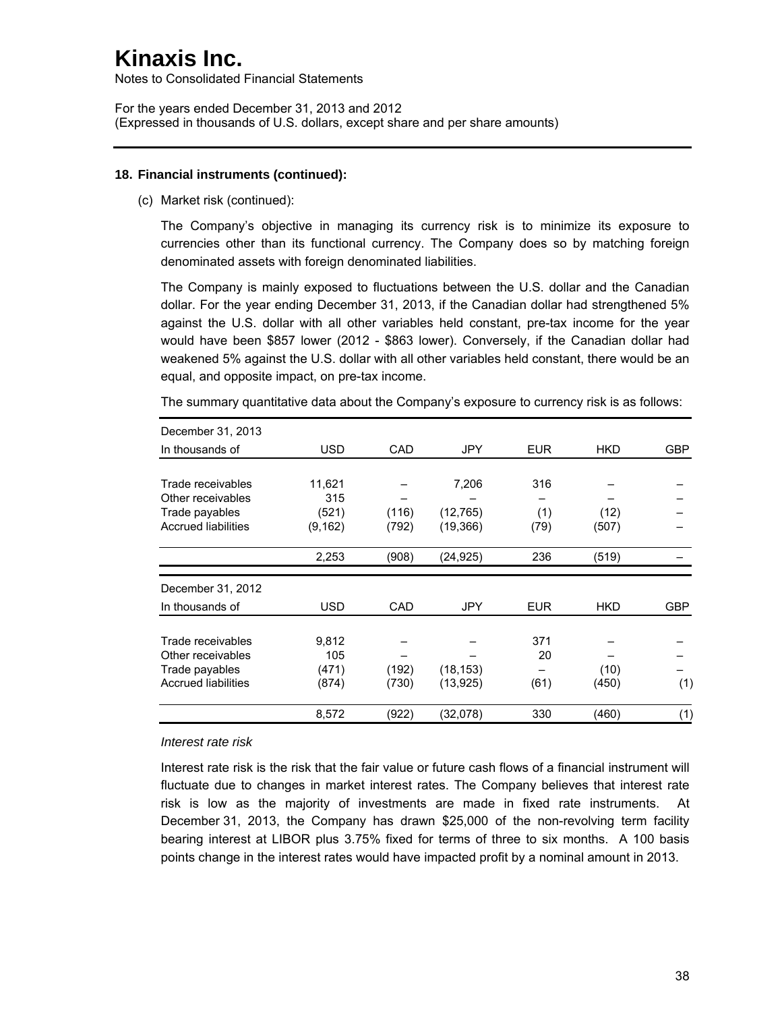Notes to Consolidated Financial Statements

For the years ended December 31, 2013 and 2012 (Expressed in thousands of U.S. dollars, except share and per share amounts)

#### **18. Financial instruments (continued):**

(c) Market risk (continued):

The Company's objective in managing its currency risk is to minimize its exposure to currencies other than its functional currency. The Company does so by matching foreign denominated assets with foreign denominated liabilities.

The Company is mainly exposed to fluctuations between the U.S. dollar and the Canadian dollar. For the year ending December 31, 2013, if the Canadian dollar had strengthened 5% against the U.S. dollar with all other variables held constant, pre-tax income for the year would have been \$857 lower (2012 - \$863 lower). Conversely, if the Canadian dollar had weakened 5% against the U.S. dollar with all other variables held constant, there would be an equal, and opposite impact, on pre-tax income.

The summary quantitative data about the Company's exposure to currency risk is as follows:

| December 31, 2013          |            |       |            |            |            |            |
|----------------------------|------------|-------|------------|------------|------------|------------|
| In thousands of            | <b>USD</b> | CAD   | <b>JPY</b> | <b>EUR</b> | <b>HKD</b> | GBP        |
|                            |            |       |            |            |            |            |
| Trade receivables          | 11,621     |       | 7,206      | 316        |            |            |
| Other receivables          | 315        |       |            |            |            |            |
| Trade payables             | (521)      | (116) | (12, 765)  | (1)        | (12)       |            |
| <b>Accrued liabilities</b> | (9, 162)   | (792) | (19, 366)  | (79)       | (507)      |            |
|                            | 2,253      | (908) | (24, 925)  | 236        | (519)      |            |
| December 31, 2012          |            |       |            |            |            |            |
| In thousands of            | <b>USD</b> | CAD   | <b>JPY</b> | <b>EUR</b> | <b>HKD</b> | <b>GBP</b> |
| Trade receivables          | 9,812      |       |            | 371        |            |            |
| Other receivables          | 105        |       |            | 20         |            |            |
| Trade payables             | (471)      | (192) | (18, 153)  |            | (10)       |            |
| <b>Accrued liabilities</b> | (874)      | (730) | (13, 925)  | (61)       | (450)      | (1)        |
|                            | 8,572      | (922) | (32,078)   | 330        | (460)      | (1)        |

#### *Interest rate risk*

Interest rate risk is the risk that the fair value or future cash flows of a financial instrument will fluctuate due to changes in market interest rates. The Company believes that interest rate risk is low as the majority of investments are made in fixed rate instruments. At December 31, 2013, the Company has drawn \$25,000 of the non-revolving term facility bearing interest at LIBOR plus 3.75% fixed for terms of three to six months. A 100 basis points change in the interest rates would have impacted profit by a nominal amount in 2013.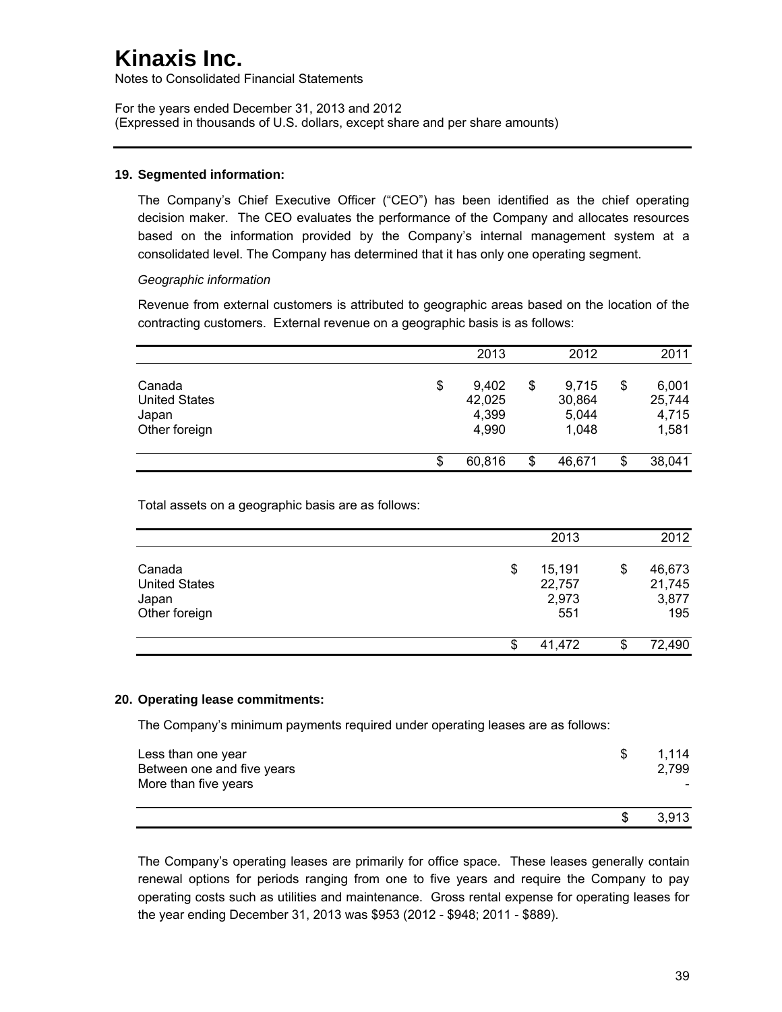Notes to Consolidated Financial Statements

For the years ended December 31, 2013 and 2012 (Expressed in thousands of U.S. dollars, except share and per share amounts)

#### **19. Segmented information:**

The Company's Chief Executive Officer ("CEO") has been identified as the chief operating decision maker. The CEO evaluates the performance of the Company and allocates resources based on the information provided by the Company's internal management system at a consolidated level. The Company has determined that it has only one operating segment.

#### *Geographic information*

Revenue from external customers is attributed to geographic areas based on the location of the contracting customers. External revenue on a geographic basis is as follows:

|                                                          | 2013                                    | 2012                                    | 2011                                    |
|----------------------------------------------------------|-----------------------------------------|-----------------------------------------|-----------------------------------------|
| Canada<br><b>United States</b><br>Japan<br>Other foreign | \$<br>9,402<br>42,025<br>4,399<br>4,990 | \$<br>9,715<br>30,864<br>5,044<br>1,048 | \$<br>6,001<br>25,744<br>4,715<br>1,581 |
|                                                          | \$<br>60,816                            | \$<br>46,671                            | \$<br>38,041                            |

Total assets on a geographic basis are as follows:

|                                                          | 2013                                   | 2012                                   |
|----------------------------------------------------------|----------------------------------------|----------------------------------------|
| Canada<br><b>United States</b><br>Japan<br>Other foreign | \$<br>15,191<br>22,757<br>2,973<br>551 | \$<br>46,673<br>21,745<br>3,877<br>195 |
|                                                          | \$<br>41,472                           | \$<br>72,490                           |

### **20. Operating lease commitments:**

The Company's minimum payments required under operating leases are as follows:

| Less than one year<br>Between one and five years<br>More than five years | S | 1.114<br>2,799 |
|--------------------------------------------------------------------------|---|----------------|
|                                                                          |   | 3.913          |

The Company's operating leases are primarily for office space. These leases generally contain renewal options for periods ranging from one to five years and require the Company to pay operating costs such as utilities and maintenance. Gross rental expense for operating leases for the year ending December 31, 2013 was \$953 (2012 - \$948; 2011 - \$889).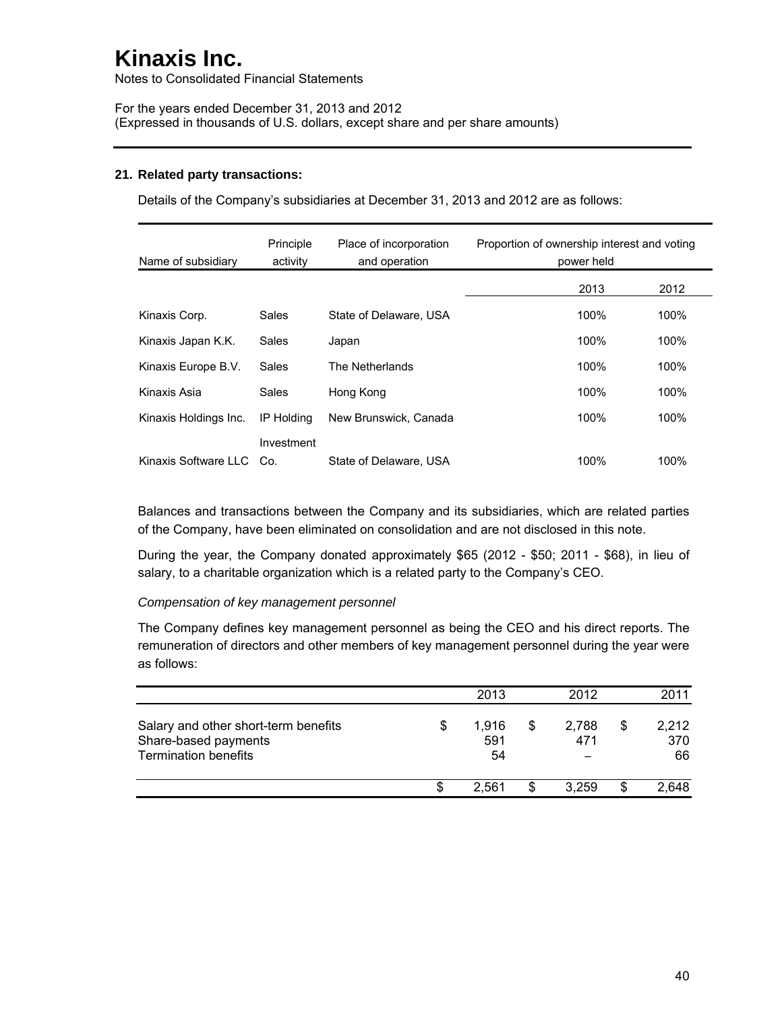Notes to Consolidated Financial Statements

For the years ended December 31, 2013 and 2012 (Expressed in thousands of U.S. dollars, except share and per share amounts)

### **21. Related party transactions:**

Details of the Company's subsidiaries at December 31, 2013 and 2012 are as follows:

| Name of subsidiary    | Principle<br>activity | Place of incorporation<br>and operation | Proportion of ownership interest and voting<br>power held |
|-----------------------|-----------------------|-----------------------------------------|-----------------------------------------------------------|
|                       |                       |                                         | 2013<br>2012                                              |
| Kinaxis Corp.         | Sales                 | State of Delaware, USA                  | 100%<br>100%                                              |
| Kinaxis Japan K.K.    | Sales                 | Japan                                   | 100%<br>100%                                              |
| Kinaxis Europe B.V.   | Sales                 | The Netherlands                         | 100%<br>100%                                              |
| Kinaxis Asia          | Sales                 | Hong Kong                               | 100%<br>100%                                              |
| Kinaxis Holdings Inc. | <b>IP Holding</b>     | New Brunswick, Canada                   | 100%<br>100%                                              |
| Kinaxis Software LLC  | Investment<br>Co.     | State of Delaware, USA                  | 100%<br>100%                                              |

Balances and transactions between the Company and its subsidiaries, which are related parties of the Company, have been eliminated on consolidation and are not disclosed in this note.

During the year, the Company donated approximately \$65 (2012 - \$50; 2011 - \$68), in lieu of salary, to a charitable organization which is a related party to the Company's CEO.

#### *Compensation of key management personnel*

The Company defines key management personnel as being the CEO and his direct reports. The remuneration of directors and other members of key management personnel during the year were as follows:

|                                                                                             |   | 2013               |   | 2012         |    | 2011               |
|---------------------------------------------------------------------------------------------|---|--------------------|---|--------------|----|--------------------|
| Salary and other short-term benefits<br>Share-based payments<br><b>Termination benefits</b> | S | 1.916<br>591<br>54 |   | 2.788<br>471 | \$ | 2,212<br>370<br>66 |
|                                                                                             | S | 2.561              | S | 3.259        | S  | 2.648              |